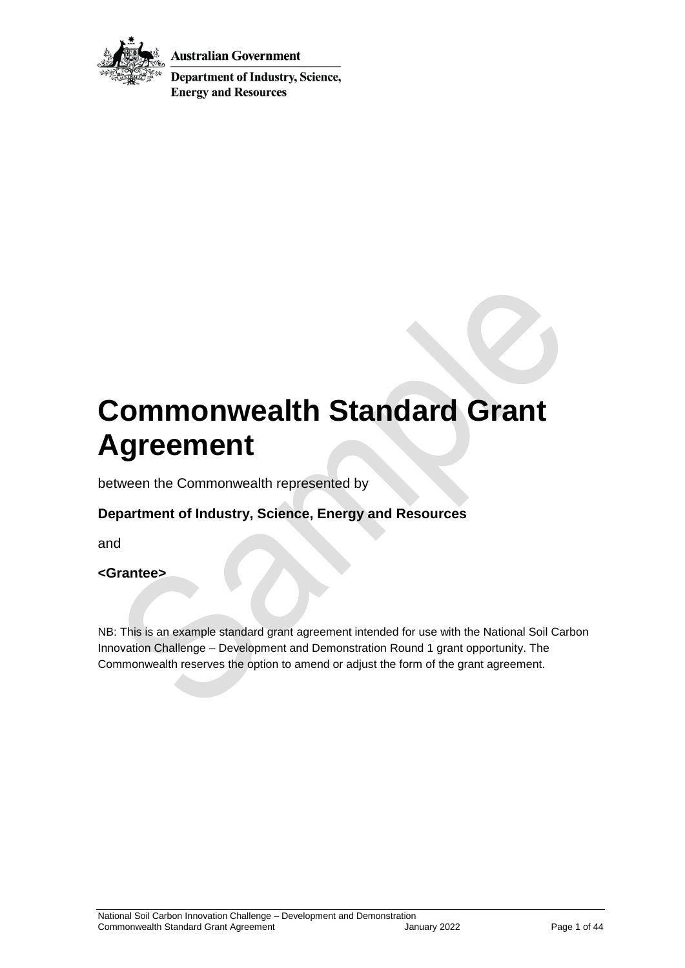

Australian Government

**Department of Industry, Science, Energy and Resources** 

# **Commonwealth Standard Grant Agreement**

between the Commonwealth represented by

## **Department of Industry, Science, Energy and Resources**

and

#### **<Grantee>**

NB: This is an example standard grant agreement intended for use with the National Soil Carbon Innovation Challenge – Development and Demonstration Round 1 grant opportunity. The Commonwealth reserves the option to amend or adjust the form of the grant agreement.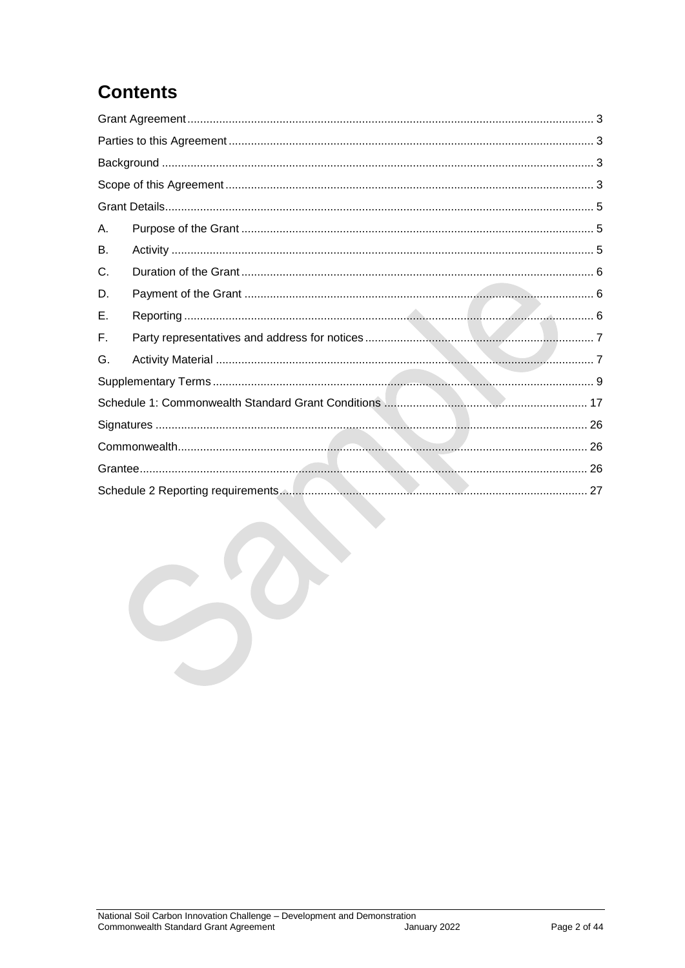## **Contents**

| Α. |  |  |  |
|----|--|--|--|
| В. |  |  |  |
| C. |  |  |  |
| D. |  |  |  |
| Е. |  |  |  |
| F. |  |  |  |
| G. |  |  |  |
|    |  |  |  |
|    |  |  |  |
|    |  |  |  |
|    |  |  |  |
|    |  |  |  |
|    |  |  |  |
|    |  |  |  |
|    |  |  |  |
|    |  |  |  |
|    |  |  |  |
|    |  |  |  |
|    |  |  |  |
|    |  |  |  |
|    |  |  |  |
|    |  |  |  |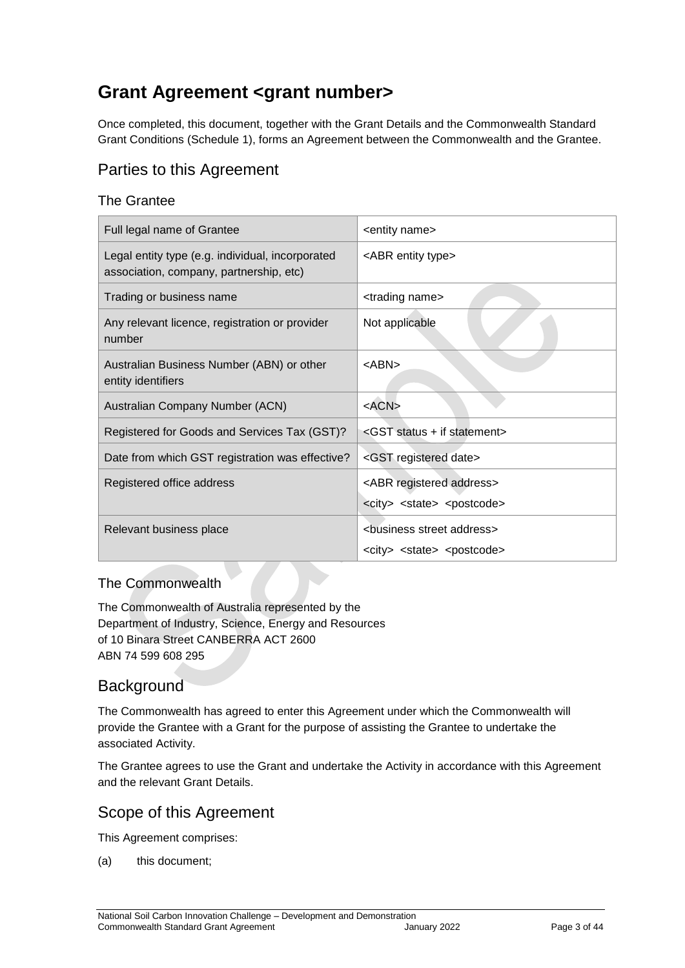## <span id="page-2-0"></span>**Grant Agreement <grant number>**

Once completed, this document, together with the Grant Details and the Commonwealth Standard Grant Conditions (Schedule 1), forms an Agreement between the Commonwealth and the Grantee.

## <span id="page-2-1"></span>Parties to this Agreement

#### The Grantee

| Full legal name of Grantee                                                                  | <entity name=""></entity>                                                                    |
|---------------------------------------------------------------------------------------------|----------------------------------------------------------------------------------------------|
| Legal entity type (e.g. individual, incorporated<br>association, company, partnership, etc) | <abr entity="" type=""></abr>                                                                |
| Trading or business name                                                                    | <trading name=""></trading>                                                                  |
| Any relevant licence, registration or provider<br>number                                    | Not applicable                                                                               |
| Australian Business Number (ABN) or other<br>entity identifiers                             | <abn></abn>                                                                                  |
| Australian Company Number (ACN)                                                             | $<$ ACN $>$                                                                                  |
| Registered for Goods and Services Tax (GST)?                                                | <gst +="" if="" statement="" status=""></gst>                                                |
| Date from which GST registration was effective?                                             | <gst date="" registered=""></gst>                                                            |
| Registered office address                                                                   | <abr address="" registered=""><br/><city> <state> <postcode></postcode></state></city></abr> |
| Relevant business place                                                                     | <business address="" street=""></business>                                                   |
|                                                                                             | <city> <state> <postcode></postcode></state></city>                                          |

#### The Commonwealth

The Commonwealth of Australia represented by the Department of Industry, Science, Energy and Resources of 10 Binara Street CANBERRA ACT 2600 ABN 74 599 608 295

## <span id="page-2-2"></span>**Background**

The Commonwealth has agreed to enter this Agreement under which the Commonwealth will provide the Grantee with a Grant for the purpose of assisting the Grantee to undertake the associated Activity.

The Grantee agrees to use the Grant and undertake the Activity in accordance with this Agreement and the relevant Grant Details.

#### <span id="page-2-3"></span>Scope of this Agreement

This Agreement comprises:

(a) this document;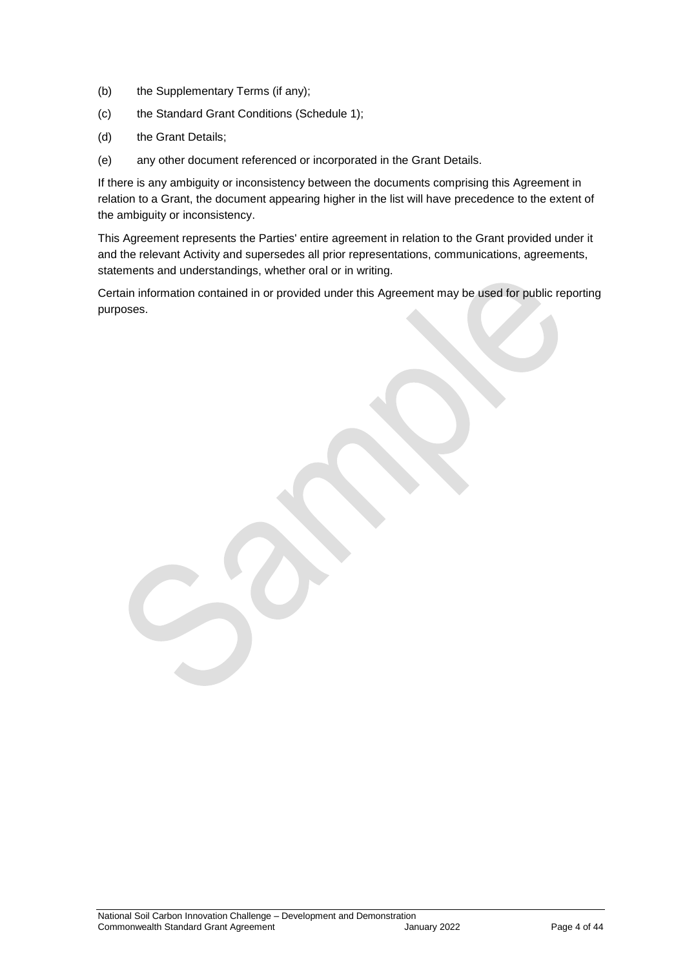- (b) the Supplementary Terms (if any);
- (c) the Standard Grant Conditions (Schedule 1);
- (d) the Grant Details;
- (e) any other document referenced or incorporated in the Grant Details.

If there is any ambiguity or inconsistency between the documents comprising this Agreement in relation to a Grant, the document appearing higher in the list will have precedence to the extent of the ambiguity or inconsistency.

This Agreement represents the Parties' entire agreement in relation to the Grant provided under it and the relevant Activity and supersedes all prior representations, communications, agreements, statements and understandings, whether oral or in writing.

Certain information contained in or provided under this Agreement may be used for public reporting purposes.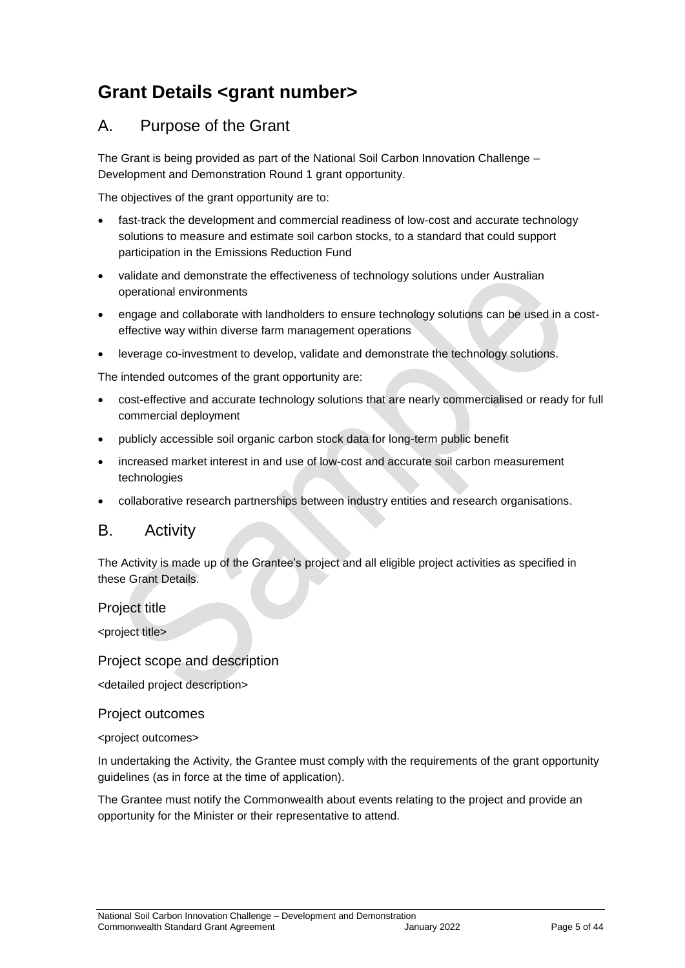## <span id="page-4-0"></span>**Grant Details <grant number>**

## <span id="page-4-1"></span>A. Purpose of the Grant

The Grant is being provided as part of the National Soil Carbon Innovation Challenge – Development and Demonstration Round 1 grant opportunity.

The objectives of the grant opportunity are to:

- fast-track the development and commercial readiness of low-cost and accurate technology solutions to measure and estimate soil carbon stocks, to a standard that could support participation in the Emissions Reduction Fund
- validate and demonstrate the effectiveness of technology solutions under Australian operational environments
- engage and collaborate with landholders to ensure technology solutions can be used in a costeffective way within diverse farm management operations
- leverage co-investment to develop, validate and demonstrate the technology solutions.

The intended outcomes of the grant opportunity are:

- cost-effective and accurate technology solutions that are nearly commercialised or ready for full commercial deployment
- publicly accessible soil organic carbon stock data for long-term public benefit
- increased market interest in and use of low-cost and accurate soil carbon measurement technologies
- collaborative research partnerships between industry entities and research organisations.

#### <span id="page-4-2"></span>B. Activity

The Activity is made up of the Grantee's project and all eligible project activities as specified in these Grant Details.

#### Project title

<project title>

#### Project scope and description

<detailed project description>

#### Project outcomes

<project outcomes>

In undertaking the Activity, the Grantee must comply with the requirements of the grant opportunity guidelines (as in force at the time of application).

The Grantee must notify the Commonwealth about events relating to the project and provide an opportunity for the Minister or their representative to attend.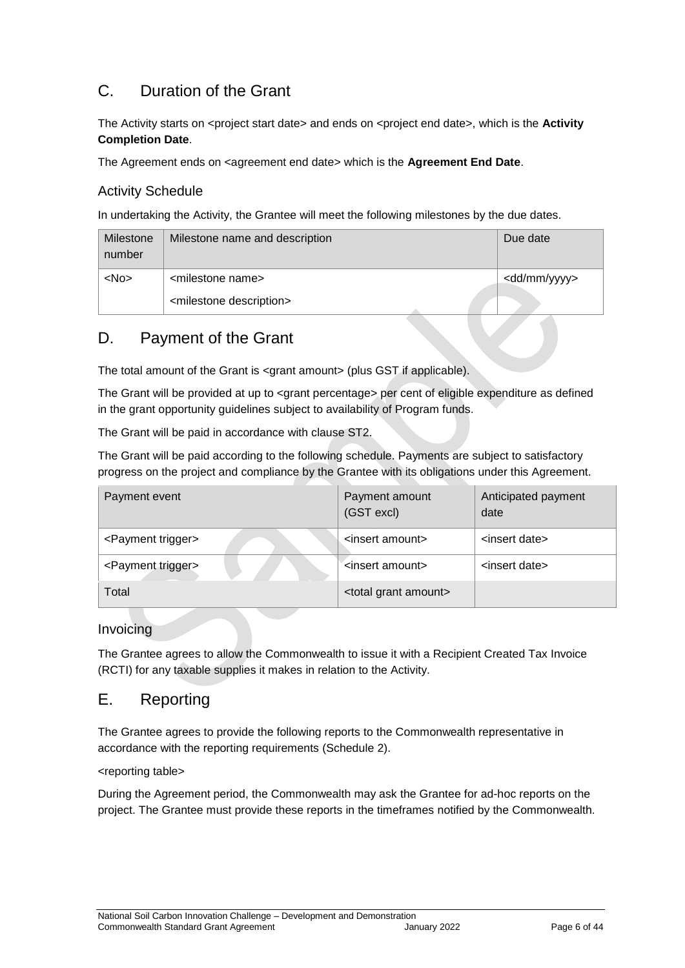## <span id="page-5-0"></span>C. Duration of the Grant

The Activity starts on <project start date> and ends on <project end date>, which is the **Activity Completion Date**.

The Agreement ends on <agreement end date> which is the **Agreement End Date**.

#### Activity Schedule

In undertaking the Activity, the Grantee will meet the following milestones by the due dates.

| Milestone<br>number | Milestone name and description         | Due date                |
|---------------------|----------------------------------------|-------------------------|
| $<$ No $>$          | <milestone name=""></milestone>        | <dd mm="" yyyy=""></dd> |
|                     | <milestone description=""></milestone> |                         |

## <span id="page-5-1"></span>D. Payment of the Grant

The total amount of the Grant is <grant amount> (plus GST if applicable).

The Grant will be provided at up to <grant percentage> per cent of eligible expenditure as defined in the grant opportunity guidelines subject to availability of Program funds.

The Grant will be paid in accordance with clause [ST2.](#page-8-1)

The Grant will be paid according to the following schedule. Payments are subject to satisfactory progress on the project and compliance by the Grantee with its obligations under this Agreement.

| Payment event                  | Payment amount<br>(GST excl)       | Anticipated payment<br>date |
|--------------------------------|------------------------------------|-----------------------------|
| <payment trigger=""></payment> | <insert amount=""></insert>        | <insert date=""></insert>   |
| <payment trigger=""></payment> | <insert amount=""></insert>        | <insert date=""></insert>   |
| Total                          | <total amount="" grant=""></total> |                             |

Invoicing

The Grantee agrees to allow the Commonwealth to issue it with a Recipient Created Tax Invoice (RCTI) for any taxable supplies it makes in relation to the Activity.

## <span id="page-5-2"></span>E. Reporting

The Grantee agrees to provide the following reports to the Commonwealth representative in accordance with the reporting requirements (Schedule 2).

<reporting table>

During the Agreement period, the Commonwealth may ask the Grantee for ad-hoc reports on the project. The Grantee must provide these reports in the timeframes notified by the Commonwealth.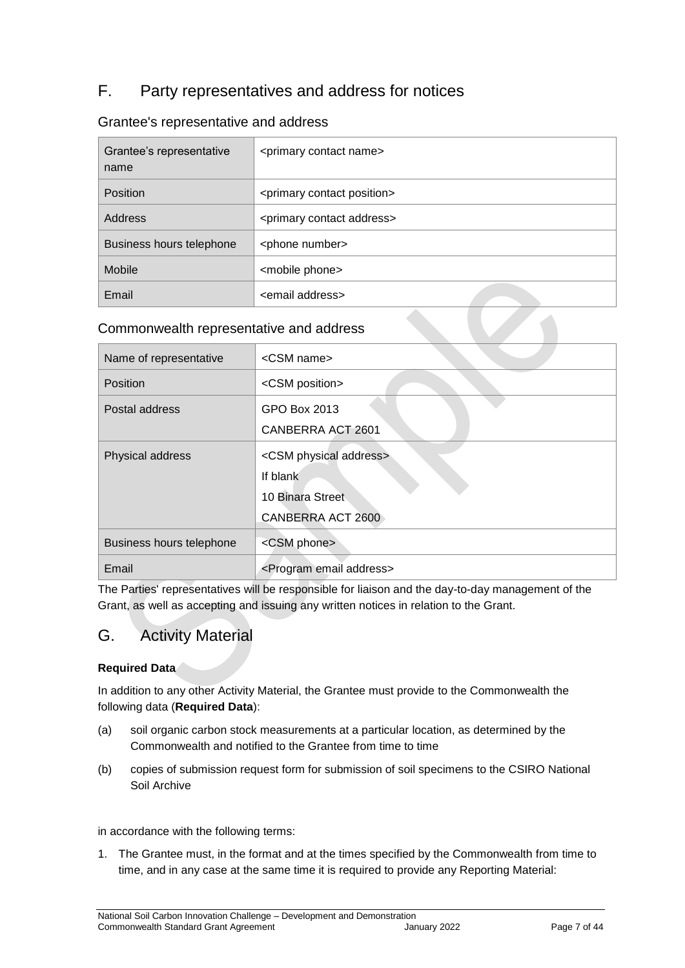## <span id="page-6-0"></span>F. Party representatives and address for notices

#### Grantee's representative and address

| Grantee's representative<br>name | <primary contact="" name=""></primary>     |
|----------------------------------|--------------------------------------------|
| Position                         | <primary contact="" position=""></primary> |
| Address                          | <primary address="" contact=""></primary>  |
| Business hours telephone         | <phone number=""></phone>                  |
| <b>Mobile</b>                    | <mobile phone=""></mobile>                 |
| Email                            | <email address=""></email>                 |

#### Commonwealth representative and address

| Name of representative   | <csm name=""></csm>                     |
|--------------------------|-----------------------------------------|
| Position                 | <csm position=""></csm>                 |
| Postal address           | GPO Box 2013                            |
|                          | CANBERRA ACT 2601                       |
| Physical address         | <csm address="" physical=""></csm>      |
|                          | If blank                                |
|                          | 10 Binara Street                        |
|                          | CANBERRA ACT 2600                       |
| Business hours telephone | <csm phone=""></csm>                    |
| Email                    | <program address="" email=""></program> |

The Parties' representatives will be responsible for liaison and the day-to-day management of the Grant, as well as accepting and issuing any written notices in relation to the Grant.

## <span id="page-6-1"></span>G. Activity Material

#### **Required Data**

In addition to any other Activity Material, the Grantee must provide to the Commonwealth the following data (**Required Data**):

- (a) soil organic carbon stock measurements at a particular location, as determined by the Commonwealth and notified to the Grantee from time to time
- (b) copies of submission request form for submission of soil specimens to the CSIRO National Soil Archive

in accordance with the following terms:

1. The Grantee must, in the format and at the times specified by the Commonwealth from time to time, and in any case at the same time it is required to provide any Reporting Material: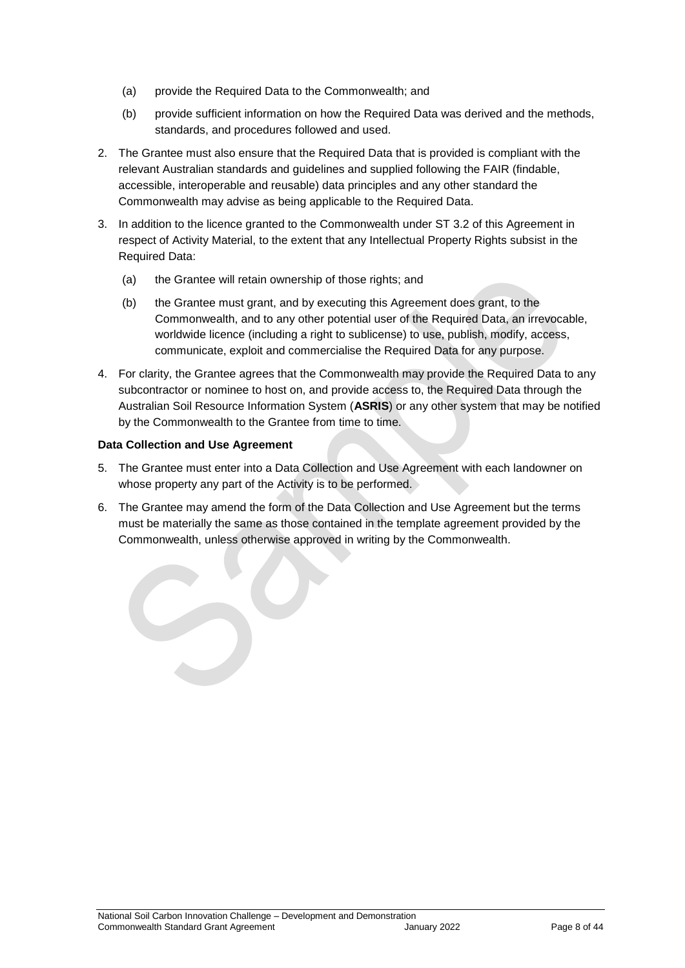- (a) provide the Required Data to the Commonwealth; and
- (b) provide sufficient information on how the Required Data was derived and the methods, standards, and procedures followed and used.
- 2. The Grantee must also ensure that the Required Data that is provided is compliant with the relevant Australian standards and guidelines and supplied following the FAIR (findable, accessible, interoperable and reusable) data principles and any other standard the Commonwealth may advise as being applicable to the Required Data.
- 3. In addition to the licence granted to the Commonwealth under ST 3.2 of this Agreement in respect of Activity Material, to the extent that any Intellectual Property Rights subsist in the Required Data:
	- (a) the Grantee will retain ownership of those rights; and
	- (b) the Grantee must grant, and by executing this Agreement does grant, to the Commonwealth, and to any other potential user of the Required Data, an irrevocable, worldwide licence (including a right to sublicense) to use, publish, modify, access, communicate, exploit and commercialise the Required Data for any purpose.
- 4. For clarity, the Grantee agrees that the Commonwealth may provide the Required Data to any subcontractor or nominee to host on, and provide access to, the Required Data through the Australian Soil Resource Information System (**ASRIS**) or any other system that may be notified by the Commonwealth to the Grantee from time to time.

#### **Data Collection and Use Agreement**

- 5. The Grantee must enter into a Data Collection and Use Agreement with each landowner on whose property any part of the Activity is to be performed.
- 6. The Grantee may amend the form of the Data Collection and Use Agreement but the terms must be materially the same as those contained in the template agreement provided by the Commonwealth, unless otherwise approved in writing by the Commonwealth.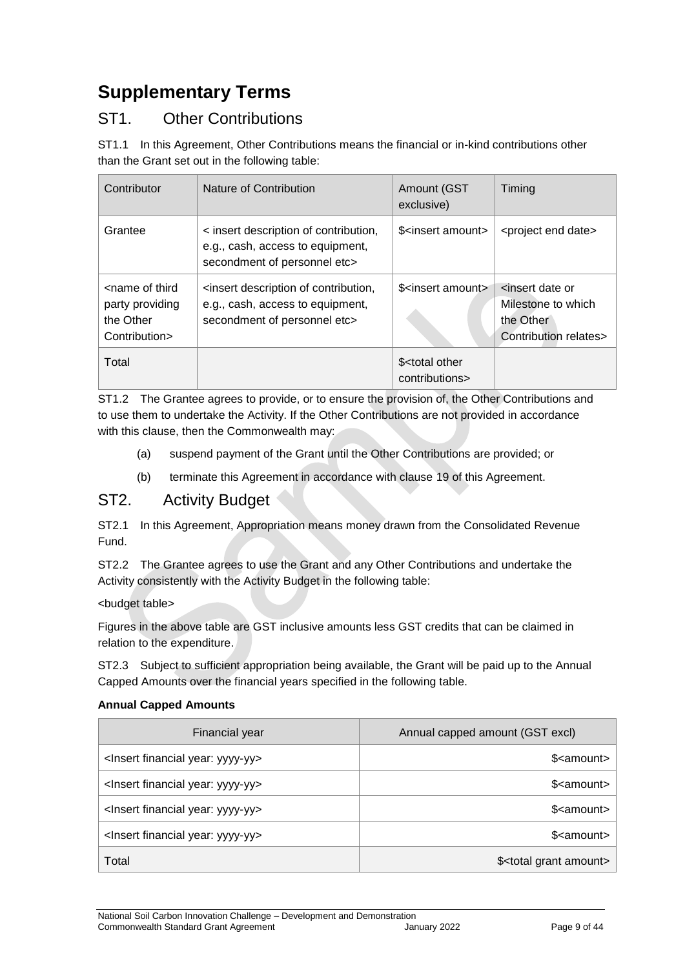## <span id="page-8-0"></span>**Supplementary Terms**

## ST1. Other Contributions

ST1.1 In this Agreement, Other Contributions means the financial or in-kind contributions other than the Grant set out in the following table:

| Contributor                                                                       | Nature of Contribution                                                                                    | Amount (GST<br>exclusive)                       | Timing                                                                                          |
|-----------------------------------------------------------------------------------|-----------------------------------------------------------------------------------------------------------|-------------------------------------------------|-------------------------------------------------------------------------------------------------|
| Grantee                                                                           | < insert description of contribution,<br>e.g., cash, access to equipment,<br>secondment of personnel etc> | \$ <insert amount=""></insert>                  | <project date="" end=""></project>                                                              |
| <name of="" third<br="">party providing<br/>the Other<br/>Contribution&gt;</name> | insert description of contribution,<br>e.g., cash, access to equipment,<br>secondment of personnel etc>   | \$ <insert amount=""></insert>                  | <insert date="" or<br="">Milestone to which<br/>the Other<br/>Contribution relates&gt;</insert> |
| Total                                                                             |                                                                                                           | \$ <total other<br="">contributions&gt;</total> |                                                                                                 |

ST1.2 The Grantee agrees to provide, or to ensure the provision of, the Other Contributions and to use them to undertake the Activity. If the Other Contributions are not provided in accordance with this clause, then the Commonwealth may:

- (a) suspend payment of the Grant until the Other Contributions are provided; or
- (b) terminate this Agreement in accordance with clause 19 of this Agreement.

## <span id="page-8-1"></span>ST2. Activity Budget

ST2.1 In this Agreement, Appropriation means money drawn from the Consolidated Revenue Fund.

ST2.2 The Grantee agrees to use the Grant and any Other Contributions and undertake the Activity consistently with the Activity Budget in the following table:

#### <budget table>

Figures in the above table are GST inclusive amounts less GST credits that can be claimed in relation to the expenditure.

ST2.3 Subject to sufficient appropriation being available, the Grant will be paid up to the Annual Capped Amounts over the financial years specified in the following table.

#### **Annual Capped Amounts**

| Financial year                                     | Annual capped amount (GST excl)       |
|----------------------------------------------------|---------------------------------------|
| <lnsert financial="" year:="" yyyy-yy=""></lnsert> | \$ <amount></amount>                  |
| <lnsert financial="" year:="" yyyy-yy=""></lnsert> | \$ <amount></amount>                  |
| <lnsert financial="" year:="" yyyy-yy=""></lnsert> | \$ <amount></amount>                  |
| <lnsert financial="" year:="" yyyy-yy=""></lnsert> | \$ <amount></amount>                  |
| Total                                              | \$ <total amount="" grant=""></total> |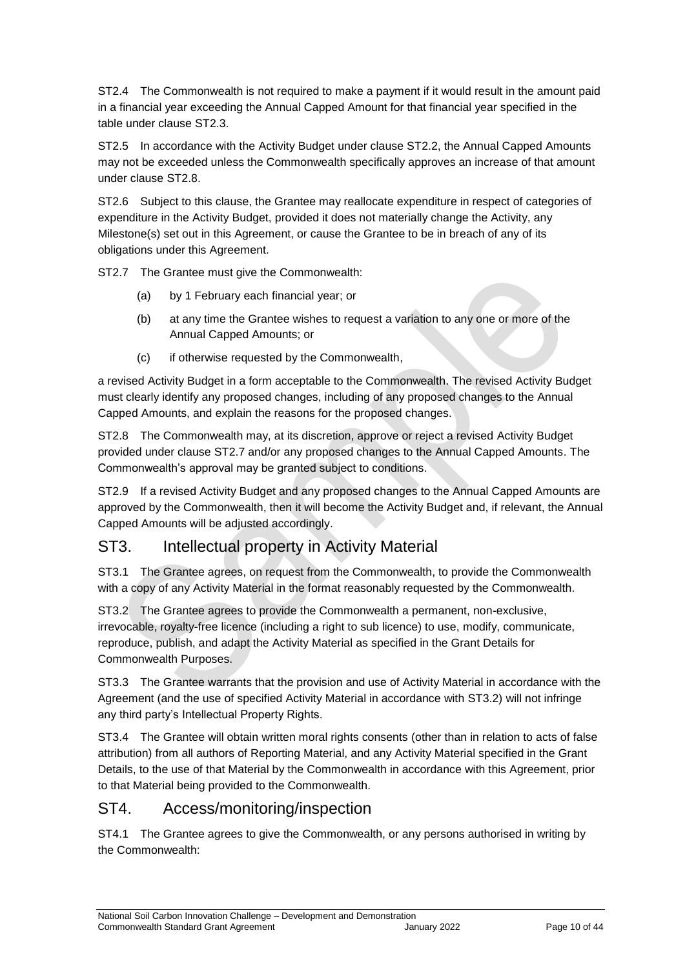ST2.4 The Commonwealth is not required to make a payment if it would result in the amount paid in a financial year exceeding the Annual Capped Amount for that financial year specified in the table under clause ST2.3.

ST2.5 In accordance with the Activity Budget under clause ST2.2, the Annual Capped Amounts may not be exceeded unless the Commonwealth specifically approves an increase of that amount under clause ST2.8.

ST2.6 Subject to this clause, the Grantee may reallocate expenditure in respect of categories of expenditure in the Activity Budget, provided it does not materially change the Activity, any Milestone(s) set out in this Agreement, or cause the Grantee to be in breach of any of its obligations under this Agreement.

ST2.7 The Grantee must give the Commonwealth:

- (a) by 1 February each financial year; or
- (b) at any time the Grantee wishes to request a variation to any one or more of the Annual Capped Amounts; or
- (c) if otherwise requested by the Commonwealth,

a revised Activity Budget in a form acceptable to the Commonwealth. The revised Activity Budget must clearly identify any proposed changes, including of any proposed changes to the Annual Capped Amounts, and explain the reasons for the proposed changes.

ST2.8 The Commonwealth may, at its discretion, approve or reject a revised Activity Budget provided under clause ST2.7 and/or any proposed changes to the Annual Capped Amounts. The Commonwealth's approval may be granted subject to conditions.

ST2.9 If a revised Activity Budget and any proposed changes to the Annual Capped Amounts are approved by the Commonwealth, then it will become the Activity Budget and, if relevant, the Annual Capped Amounts will be adjusted accordingly.

## ST3. Intellectual property in Activity Material

ST3.1 The Grantee agrees, on request from the Commonwealth, to provide the Commonwealth with a copy of any Activity Material in the format reasonably requested by the Commonwealth.

ST3.2 The Grantee agrees to provide the Commonwealth a permanent, non-exclusive, irrevocable, royalty-free licence (including a right to sub licence) to use, modify, communicate, reproduce, publish, and adapt the Activity Material as specified in the Grant Details for Commonwealth Purposes.

ST3.3 The Grantee warrants that the provision and use of Activity Material in accordance with the Agreement (and the use of specified Activity Material in accordance with ST3.2) will not infringe any third party's Intellectual Property Rights.

ST3.4 The Grantee will obtain written moral rights consents (other than in relation to acts of false attribution) from all authors of Reporting Material, and any Activity Material specified in the Grant Details, to the use of that Material by the Commonwealth in accordance with this Agreement, prior to that Material being provided to the Commonwealth.

## ST4. Access/monitoring/inspection

ST4.1 The Grantee agrees to give the Commonwealth, or any persons authorised in writing by the Commonwealth: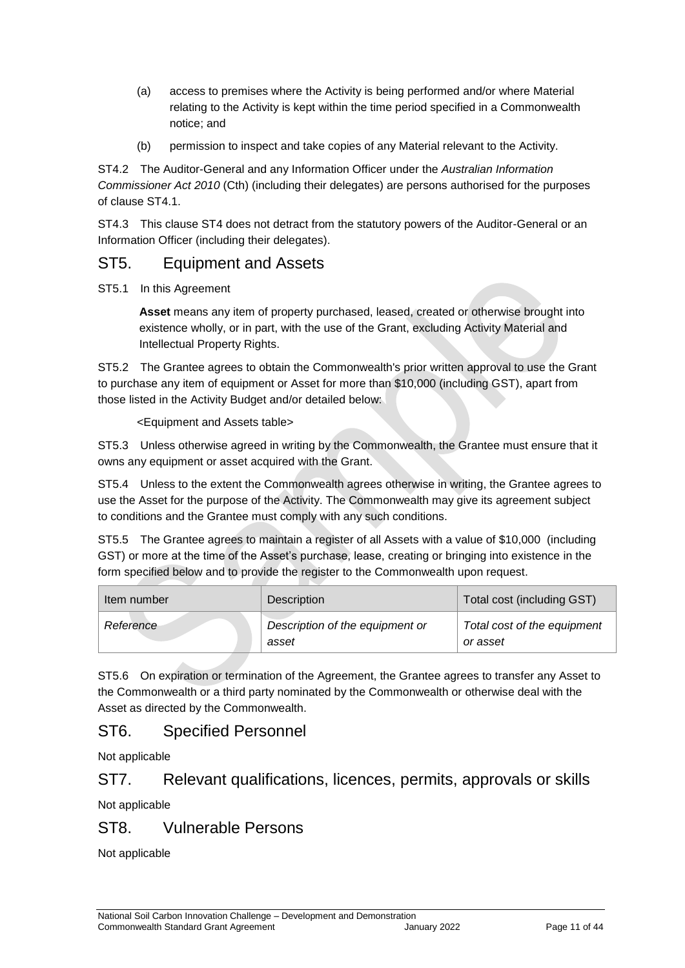- (a) access to premises where the Activity is being performed and/or where Material relating to the Activity is kept within the time period specified in a Commonwealth notice; and
- (b) permission to inspect and take copies of any Material relevant to the Activity.

ST4.2 The Auditor-General and any Information Officer under the *Australian Information Commissioner Act 2010* (Cth) (including their delegates) are persons authorised for the purposes of clause ST4.1.

ST4.3 This clause ST4 does not detract from the statutory powers of the Auditor-General or an Information Officer (including their delegates).

## ST5. Equipment and Assets

ST5.1 In this Agreement

**Asset** means any item of property purchased, leased, created or otherwise brought into existence wholly, or in part, with the use of the Grant, excluding Activity Material and Intellectual Property Rights.

ST5.2 The Grantee agrees to obtain the Commonwealth's prior written approval to use the Grant to purchase any item of equipment or Asset for more than \$10,000 (including GST), apart from those listed in the Activity Budget and/or detailed below:

<Equipment and Assets table>

ST5.3 Unless otherwise agreed in writing by the Commonwealth, the Grantee must ensure that it owns any equipment or asset acquired with the Grant.

ST5.4 Unless to the extent the Commonwealth agrees otherwise in writing, the Grantee agrees to use the Asset for the purpose of the Activity. The Commonwealth may give its agreement subject to conditions and the Grantee must comply with any such conditions.

ST5.5 The Grantee agrees to maintain a register of all Assets with a value of \$10,000 (including GST) or more at the time of the Asset's purchase, lease, creating or bringing into existence in the form specified below and to provide the register to the Commonwealth upon request.

| Item number | Description                              | Total cost (including GST)              |
|-------------|------------------------------------------|-----------------------------------------|
| Reference   | Description of the equipment or<br>asset | Total cost of the equipment<br>or asset |

ST5.6 On expiration or termination of the Agreement, the Grantee agrees to transfer any Asset to the Commonwealth or a third party nominated by the Commonwealth or otherwise deal with the Asset as directed by the Commonwealth.

## ST6. Specified Personnel

Not applicable

## ST7. Relevant qualifications, licences, permits, approvals or skills

Not applicable

## ST8. Vulnerable Persons

Not applicable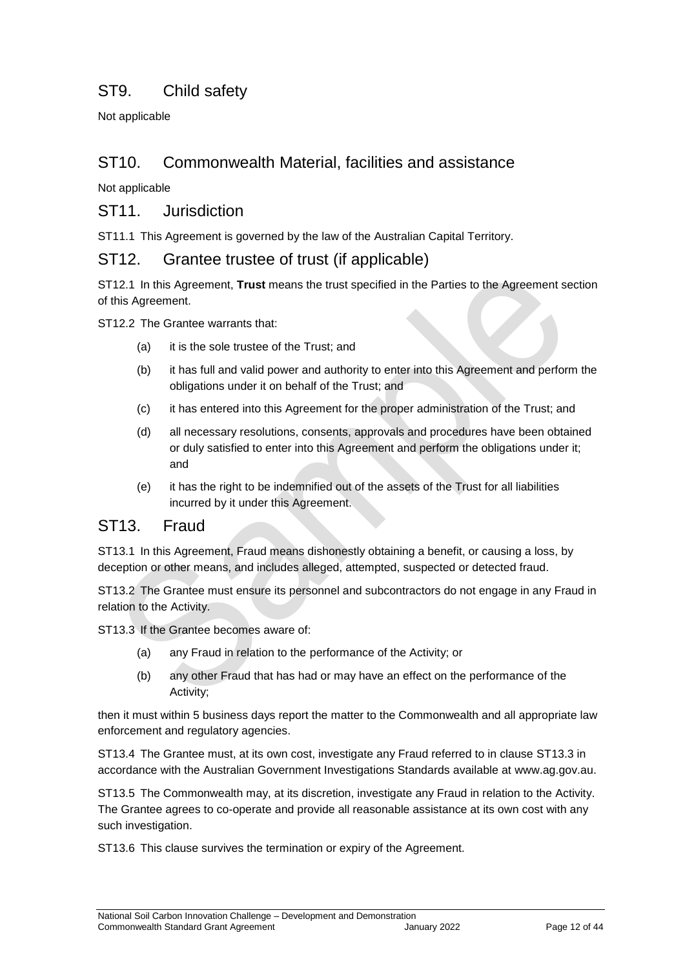## ST9. Child safety

Not applicable

## ST10. Commonwealth Material, facilities and assistance

Not applicable

### ST11 .Jurisdiction

ST11.1 This Agreement is governed by the law of the Australian Capital Territory.

### ST12. Grantee trustee of trust (if applicable)

ST12.1 In this Agreement, **Trust** means the trust specified in the Parties to the Agreement section of this Agreement.

ST12.2 The Grantee warrants that:

- (a) it is the sole trustee of the Trust; and
- (b) it has full and valid power and authority to enter into this Agreement and perform the obligations under it on behalf of the Trust; and
- (c) it has entered into this Agreement for the proper administration of the Trust; and
- (d) all necessary resolutions, consents, approvals and procedures have been obtained or duly satisfied to enter into this Agreement and perform the obligations under it; and
- (e) it has the right to be indemnified out of the assets of the Trust for all liabilities incurred by it under this Agreement.

#### ST13. Fraud

ST13.1 In this Agreement, Fraud means dishonestly obtaining a benefit, or causing a loss, by deception or other means, and includes alleged, attempted, suspected or detected fraud.

ST13.2 The Grantee must ensure its personnel and subcontractors do not engage in any Fraud in relation to the Activity.

ST13.3 If the Grantee becomes aware of:

- (a) any Fraud in relation to the performance of the Activity; or
- (b) any other Fraud that has had or may have an effect on the performance of the Activity;

then it must within 5 business days report the matter to the Commonwealth and all appropriate law enforcement and regulatory agencies.

ST13.4 The Grantee must, at its own cost, investigate any Fraud referred to in clause ST13.3 in accordance with the Australian Government Investigations Standards available at [www.ag.gov.au.](http://www.ag.gov.au/)

ST13.5 The Commonwealth may, at its discretion, investigate any Fraud in relation to the Activity. The Grantee agrees to co-operate and provide all reasonable assistance at its own cost with any such investigation.

ST13.6 This clause survives the termination or expiry of the Agreement.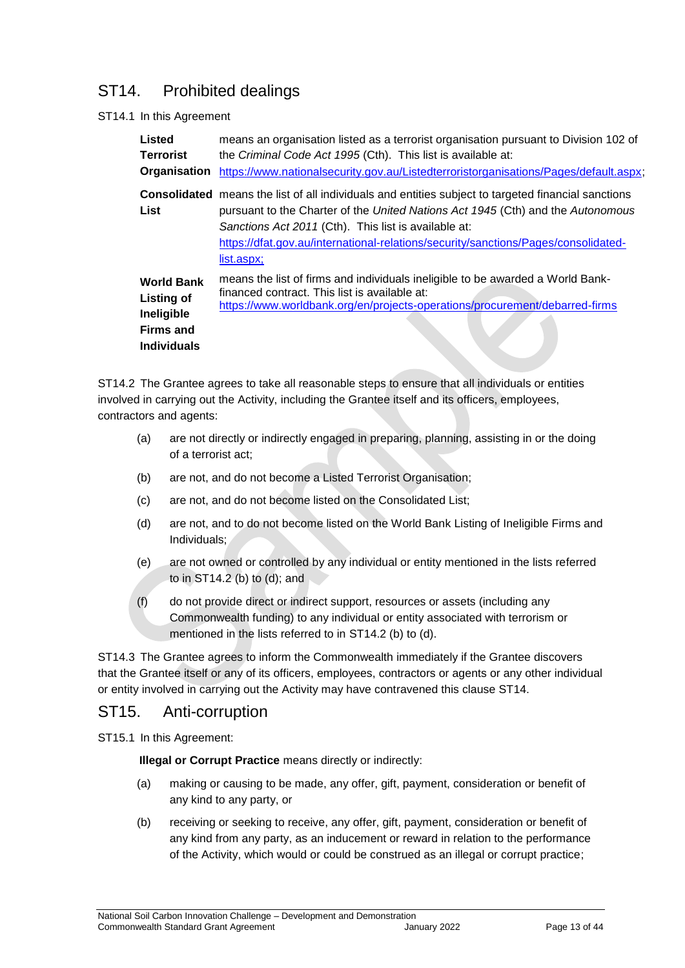## ST14. Prohibited dealings

#### ST14.1 In this Agreement

| Listed<br><b>Terrorist</b><br>Organisation                                                     | means an organisation listed as a terrorist organisation pursuant to Division 102 of<br>the Criminal Code Act 1995 (Cth). This list is available at:<br>https://www.nationalsecurity.gov.au/Listedterroristorganisations/Pages/default.aspx;                                                                                                              |
|------------------------------------------------------------------------------------------------|-----------------------------------------------------------------------------------------------------------------------------------------------------------------------------------------------------------------------------------------------------------------------------------------------------------------------------------------------------------|
| List                                                                                           | <b>Consolidated</b> means the list of all individuals and entities subject to targeted financial sanctions<br>pursuant to the Charter of the United Nations Act 1945 (Cth) and the Autonomous<br>Sanctions Act 2011 (Cth). This list is available at:<br>https://dfat.gov.au/international-relations/security/sanctions/Pages/consolidated-<br>list.aspx; |
| <b>World Bank</b><br><b>Listing of</b><br>Ineligible<br><b>Firms and</b><br><b>Individuals</b> | means the list of firms and individuals ineligible to be awarded a World Bank-<br>financed contract. This list is available at:<br>https://www.worldbank.org/en/projects-operations/procurement/debarred-firms                                                                                                                                            |

ST14.2 The Grantee agrees to take all reasonable steps to ensure that all individuals or entities involved in carrying out the Activity, including the Grantee itself and its officers, employees, contractors and agents:

- (a) are not directly or indirectly engaged in preparing, planning, assisting in or the doing of a terrorist act;
- (b) are not, and do not become a Listed Terrorist Organisation;
- (c) are not, and do not become listed on the Consolidated List;
- (d) are not, and to do not become listed on the World Bank Listing of Ineligible Firms and Individuals;
- (e) are not owned or controlled by any individual or entity mentioned in the lists referred to in ST14.2 (b) to (d); and
- (f) do not provide direct or indirect support, resources or assets (including any Commonwealth funding) to any individual or entity associated with terrorism or mentioned in the lists referred to in ST14.2 (b) to (d).

ST14.3 The Grantee agrees to inform the Commonwealth immediately if the Grantee discovers that the Grantee itself or any of its officers, employees, contractors or agents or any other individual or entity involved in carrying out the Activity may have contravened this clause ST14.

## ST15. Anti-corruption

ST15.1 In this Agreement:

**Illegal or Corrupt Practice** means directly or indirectly:

- (a) making or causing to be made, any offer, gift, payment, consideration or benefit of any kind to any party, or
- (b) receiving or seeking to receive, any offer, gift, payment, consideration or benefit of any kind from any party, as an inducement or reward in relation to the performance of the Activity, which would or could be construed as an illegal or corrupt practice;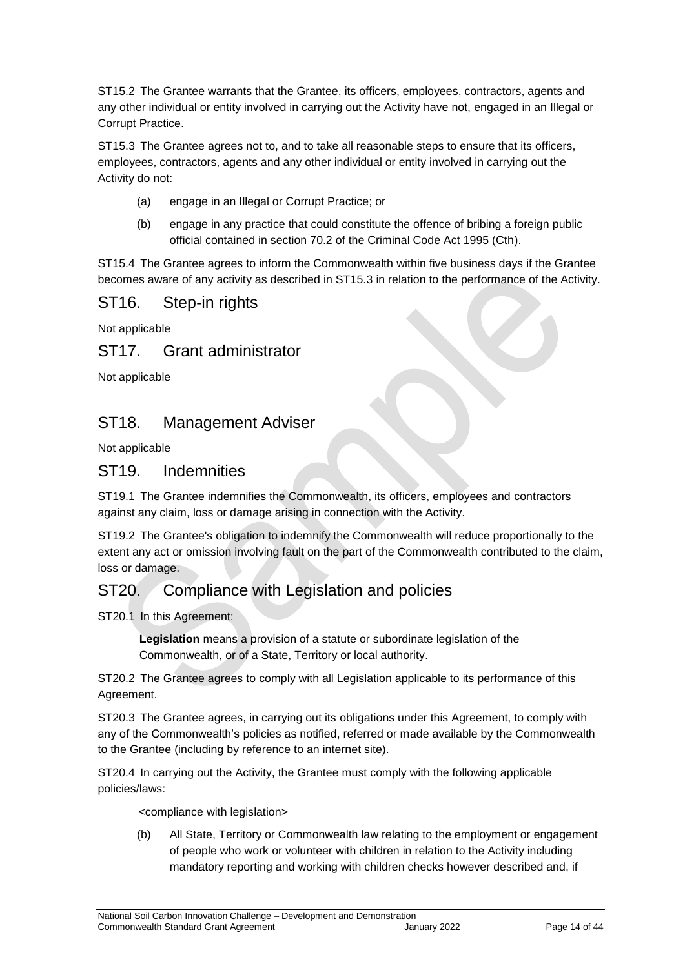ST15.2 The Grantee warrants that the Grantee, its officers, employees, contractors, agents and any other individual or entity involved in carrying out the Activity have not, engaged in an Illegal or Corrupt Practice.

ST15.3 The Grantee agrees not to, and to take all reasonable steps to ensure that its officers, employees, contractors, agents and any other individual or entity involved in carrying out the Activity do not:

- (a) engage in an Illegal or Corrupt Practice; or
- (b) engage in any practice that could constitute the offence of bribing a foreign public official contained in section 70.2 of the Criminal Code Act 1995 (Cth).

ST15.4 The Grantee agrees to inform the Commonwealth within five business days if the Grantee becomes aware of any activity as described in ST15.3 in relation to the performance of the Activity.

## ST16. Step‐in rights

Not applicable

## ST17. Grant administrator

Not applicable

## ST18. Management Adviser

Not applicable

## ST19. Indemnities

ST19.1 The Grantee indemnifies the Commonwealth, its officers, employees and contractors against any claim, loss or damage arising in connection with the Activity.

ST19.2 The Grantee's obligation to indemnify the Commonwealth will reduce proportionally to the extent any act or omission involving fault on the part of the Commonwealth contributed to the claim, loss or damage.

## ST20. Compliance with Legislation and policies

ST20.1 In this Agreement:

**Legislation** means a provision of a statute or subordinate legislation of the Commonwealth, or of a State, Territory or local authority.

ST20.2 The Grantee agrees to comply with all Legislation applicable to its performance of this Agreement.

ST20.3 The Grantee agrees, in carrying out its obligations under this Agreement, to comply with any of the Commonwealth's policies as notified, referred or made available by the Commonwealth to the Grantee (including by reference to an internet site).

ST20.4 In carrying out the Activity, the Grantee must comply with the following applicable policies/laws:

<compliance with legislation>

(b) All State, Territory or Commonwealth law relating to the employment or engagement of people who work or volunteer with children in relation to the Activity including mandatory reporting and working with children checks however described and, if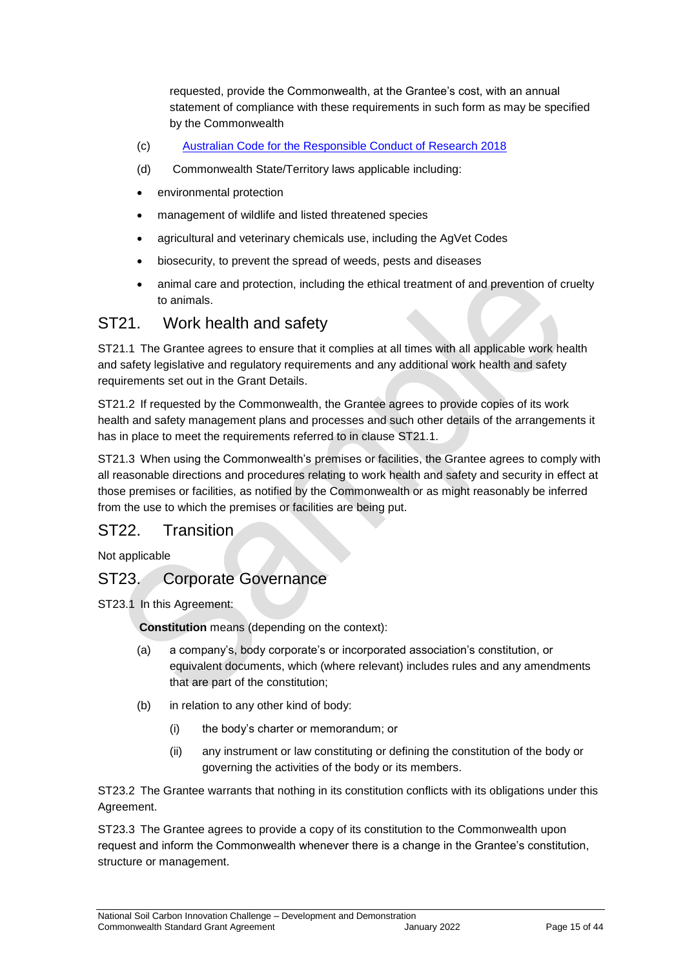requested, provide the Commonwealth, at the Grantee's cost, with an annual statement of compliance with these requirements in such form as may be specified by the Commonwealth

- (c) [Australian Code for the Responsible Conduct of Research 2018](file:///C:/Users/ilambiris/AppData/Local/Microsoft/Windows/INetCache/IE/R78HAWX7/the-australian-code-for-the-responsible-conduct-of-research-2018.pdf)
- (d) Commonwealth State/Territory laws applicable including:
- environmental protection
- management of wildlife and listed threatened species
- agricultural and veterinary chemicals use, including the AgVet Codes
- biosecurity, to prevent the spread of weeds, pests and diseases
- animal care and protection, including the ethical treatment of and prevention of cruelty to animals.

## ST21. Work health and safety

ST21.1 The Grantee agrees to ensure that it complies at all times with all applicable work health and safety legislative and regulatory requirements and any additional work health and safety requirements set out in the Grant Details.

ST21.2 If requested by the Commonwealth, the Grantee agrees to provide copies of its work health and safety management plans and processes and such other details of the arrangements it has in place to meet the requirements referred to in clause ST21.1.

ST21.3 When using the Commonwealth's premises or facilities, the Grantee agrees to comply with all reasonable directions and procedures relating to work health and safety and security in effect at those premises or facilities, as notified by the Commonwealth or as might reasonably be inferred from the use to which the premises or facilities are being put.

## ST22. Transition.

Not applicable

## ST23. Corporate Governance

ST23.1 In this Agreement:

**Constitution** means (depending on the context):

- (a) a company's, body corporate's or incorporated association's constitution, or equivalent documents, which (where relevant) includes rules and any amendments that are part of the constitution;
- (b) in relation to any other kind of body:
	- (i) the body's charter or memorandum; or
	- (ii) any instrument or law constituting or defining the constitution of the body or governing the activities of the body or its members.

ST23.2 The Grantee warrants that nothing in its constitution conflicts with its obligations under this Agreement.

ST23.3 The Grantee agrees to provide a copy of its constitution to the Commonwealth upon request and inform the Commonwealth whenever there is a change in the Grantee's constitution, structure or management.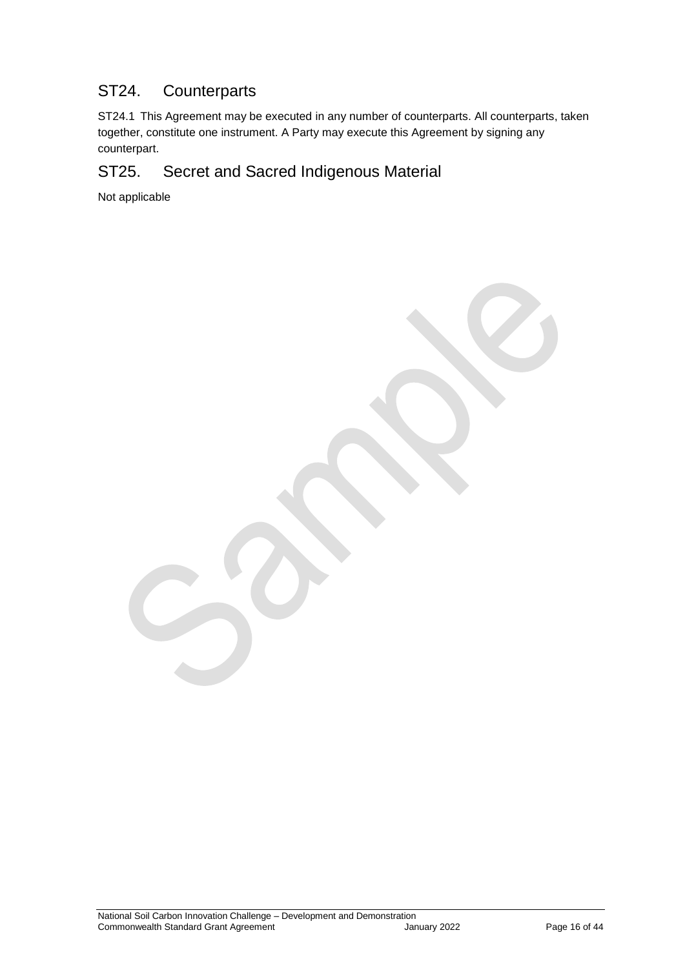## ST24. Counterparts

ST24.1 This Agreement may be executed in any number of counterparts. All counterparts, taken together, constitute one instrument. A Party may execute this Agreement by signing any counterpart.

## ST25. Secret and Sacred Indigenous Material

Not applicable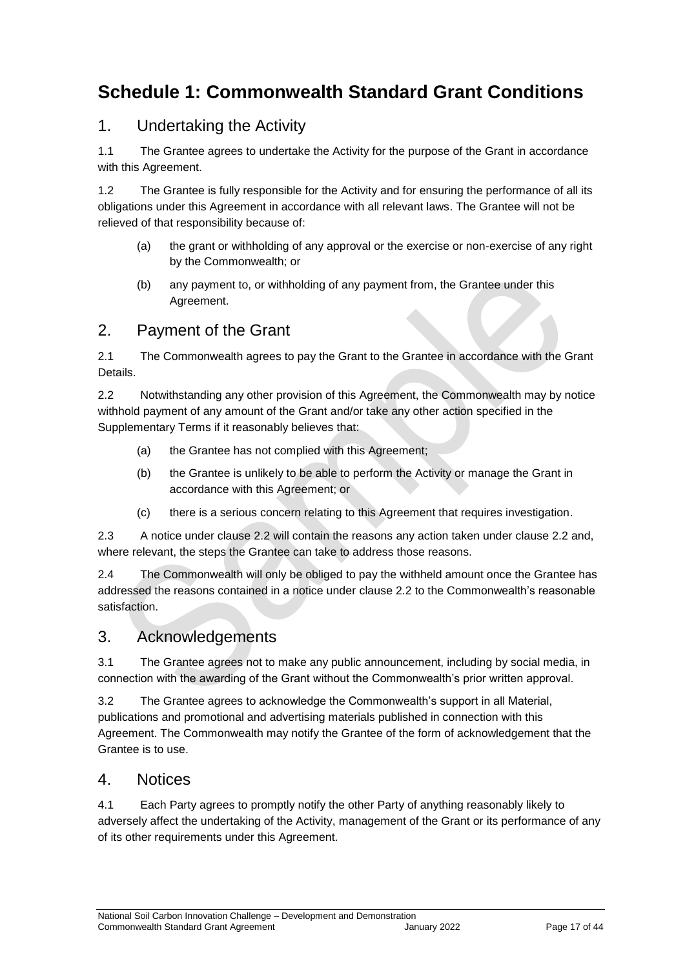## <span id="page-16-0"></span>**Schedule 1: Commonwealth Standard Grant Conditions**

## 1. Undertaking the Activity

1.1 The Grantee agrees to undertake the Activity for the purpose of the Grant in accordance with this Agreement.

1.2 The Grantee is fully responsible for the Activity and for ensuring the performance of all its obligations under this Agreement in accordance with all relevant laws. The Grantee will not be relieved of that responsibility because of:

- (a) the grant or withholding of any approval or the exercise or non‐exercise of any right by the Commonwealth; or
- (b) any payment to, or withholding of any payment from, the Grantee under this Agreement.

## 2. Payment of the Grant

2.1 The Commonwealth agrees to pay the Grant to the Grantee in accordance with the Grant Details.

2.2 Notwithstanding any other provision of this Agreement, the Commonwealth may by notice withhold payment of any amount of the Grant and/or take any other action specified in the Supplementary Terms if it reasonably believes that:

- (a) the Grantee has not complied with this Agreement;
- (b) the Grantee is unlikely to be able to perform the Activity or manage the Grant in accordance with this Agreement; or
- (c) there is a serious concern relating to this Agreement that requires investigation.

2.3 A notice under clause 2.2 will contain the reasons any action taken under clause 2.2 and, where relevant, the steps the Grantee can take to address those reasons.

2.4 The Commonwealth will only be obliged to pay the withheld amount once the Grantee has addressed the reasons contained in a notice under clause 2.2 to the Commonwealth's reasonable satisfaction.

## 3. Acknowledgements

3.1 The Grantee agrees not to make any public announcement, including by social media, in connection with the awarding of the Grant without the Commonwealth's prior written approval.

3.2 The Grantee agrees to acknowledge the Commonwealth's support in all Material, publications and promotional and advertising materials published in connection with this Agreement. The Commonwealth may notify the Grantee of the form of acknowledgement that the Grantee is to use.

#### 4. Notices

4.1 Each Party agrees to promptly notify the other Party of anything reasonably likely to adversely affect the undertaking of the Activity, management of the Grant or its performance of any of its other requirements under this Agreement.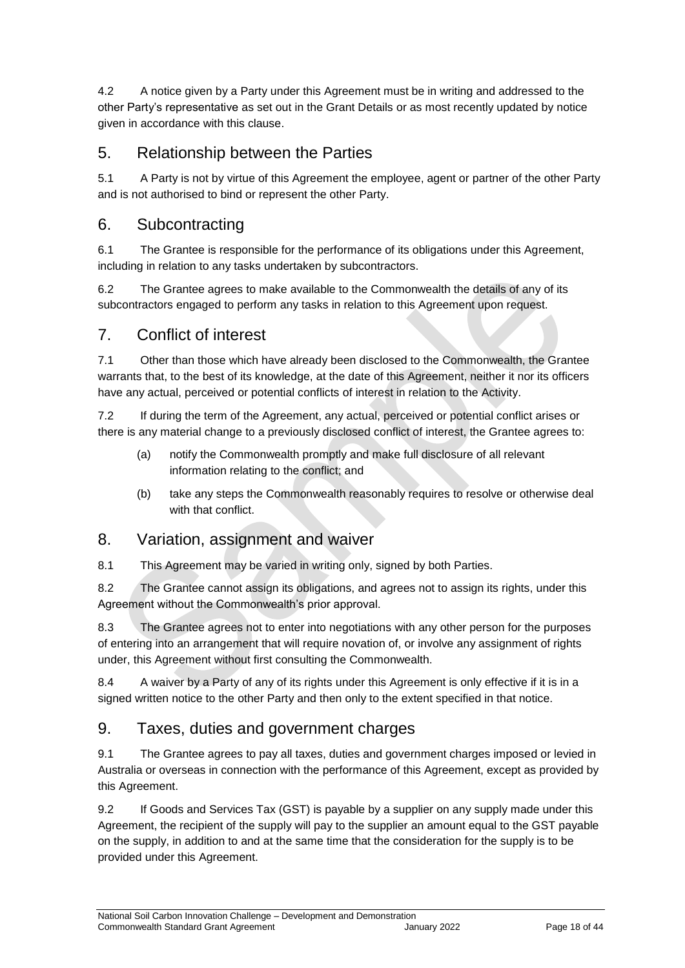4.2 A notice given by a Party under this Agreement must be in writing and addressed to the other Party's representative as set out in the Grant Details or as most recently updated by notice given in accordance with this clause.

## 5. Relationship between the Parties

5.1 A Party is not by virtue of this Agreement the employee, agent or partner of the other Party and is not authorised to bind or represent the other Party.

## 6. Subcontracting

6.1 The Grantee is responsible for the performance of its obligations under this Agreement, including in relation to any tasks undertaken by subcontractors.

6.2 The Grantee agrees to make available to the Commonwealth the details of any of its subcontractors engaged to perform any tasks in relation to this Agreement upon request.

## 7. Conflict of interest

7.1 Other than those which have already been disclosed to the Commonwealth, the Grantee warrants that, to the best of its knowledge, at the date of this Agreement, neither it nor its officers have any actual, perceived or potential conflicts of interest in relation to the Activity.

7.2 If during the term of the Agreement, any actual, perceived or potential conflict arises or there is any material change to a previously disclosed conflict of interest, the Grantee agrees to:

- (a) notify the Commonwealth promptly and make full disclosure of all relevant information relating to the conflict; and
- (b) take any steps the Commonwealth reasonably requires to resolve or otherwise deal with that conflict.

## 8. Variation, assignment and waiver

8.1 This Agreement may be varied in writing only, signed by both Parties.

8.2 The Grantee cannot assign its obligations, and agrees not to assign its rights, under this Agreement without the Commonwealth's prior approval.

8.3 The Grantee agrees not to enter into negotiations with any other person for the purposes of entering into an arrangement that will require novation of, or involve any assignment of rights under, this Agreement without first consulting the Commonwealth.

8.4 A waiver by a Party of any of its rights under this Agreement is only effective if it is in a signed written notice to the other Party and then only to the extent specified in that notice.

## 9. Taxes, duties and government charges

9.1 The Grantee agrees to pay all taxes, duties and government charges imposed or levied in Australia or overseas in connection with the performance of this Agreement, except as provided by this Agreement.

9.2 If Goods and Services Tax (GST) is payable by a supplier on any supply made under this Agreement, the recipient of the supply will pay to the supplier an amount equal to the GST payable on the supply, in addition to and at the same time that the consideration for the supply is to be provided under this Agreement.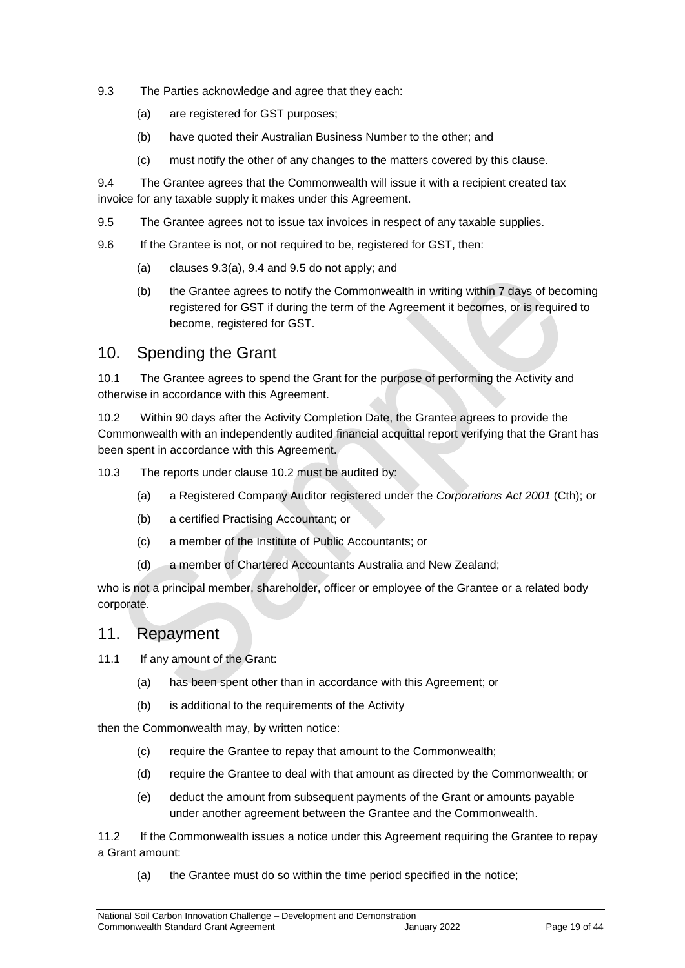- 9.3 The Parties acknowledge and agree that they each:
	- (a) are registered for GST purposes;
	- (b) have quoted their Australian Business Number to the other; and
	- (c) must notify the other of any changes to the matters covered by this clause.

9.4 The Grantee agrees that the Commonwealth will issue it with a recipient created tax invoice for any taxable supply it makes under this Agreement.

- 9.5 The Grantee agrees not to issue tax invoices in respect of any taxable supplies.
- 9.6 If the Grantee is not, or not required to be, registered for GST, then:
	- (a) clauses 9.3(a), 9.4 and 9.5 do not apply; and
	- (b) the Grantee agrees to notify the Commonwealth in writing within 7 days of becoming registered for GST if during the term of the Agreement it becomes, or is required to become, registered for GST.

## 10. Spending the Grant

10.1 The Grantee agrees to spend the Grant for the purpose of performing the Activity and otherwise in accordance with this Agreement.

10.2 Within 90 days after the Activity Completion Date, the Grantee agrees to provide the Commonwealth with an independently audited financial acquittal report verifying that the Grant has been spent in accordance with this Agreement.

10.3 The reports under clause 10.2 must be audited by:

- (a) a Registered Company Auditor registered under the *Corporations Act 2001* (Cth); or
- (b) a certified Practising Accountant; or
- (c) a member of the Institute of Public Accountants; or
- (d) a member of Chartered Accountants Australia and New Zealand;

who is not a principal member, shareholder, officer or employee of the Grantee or a related body corporate.

#### 11. Repayment

11.1 If any amount of the Grant:

- (a) has been spent other than in accordance with this Agreement; or
- (b) is additional to the requirements of the Activity

then the Commonwealth may, by written notice:

- (c) require the Grantee to repay that amount to the Commonwealth;
- (d) require the Grantee to deal with that amount as directed by the Commonwealth; or
- (e) deduct the amount from subsequent payments of the Grant or amounts payable under another agreement between the Grantee and the Commonwealth.

11.2 If the Commonwealth issues a notice under this Agreement requiring the Grantee to repay a Grant amount:

(a) the Grantee must do so within the time period specified in the notice;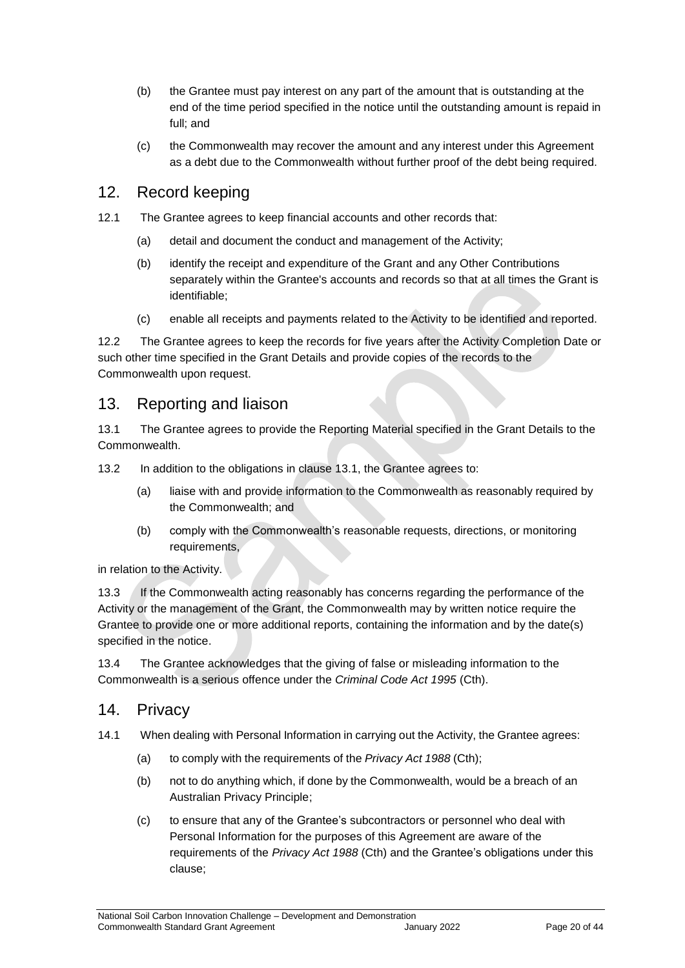- (b) the Grantee must pay interest on any part of the amount that is outstanding at the end of the time period specified in the notice until the outstanding amount is repaid in full; and
- (c) the Commonwealth may recover the amount and any interest under this Agreement as a debt due to the Commonwealth without further proof of the debt being required.

### 12. Record keeping

- 12.1 The Grantee agrees to keep financial accounts and other records that:
	- (a) detail and document the conduct and management of the Activity;
	- (b) identify the receipt and expenditure of the Grant and any Other Contributions separately within the Grantee's accounts and records so that at all times the Grant is identifiable;
	- (c) enable all receipts and payments related to the Activity to be identified and reported.

12.2 The Grantee agrees to keep the records for five years after the Activity Completion Date or such other time specified in the Grant Details and provide copies of the records to the Commonwealth upon request.

#### 13. Reporting and liaison

13.1 The Grantee agrees to provide the Reporting Material specified in the Grant Details to the Commonwealth.

13.2 In addition to the obligations in clause 13.1, the Grantee agrees to:

- (a) liaise with and provide information to the Commonwealth as reasonably required by the Commonwealth; and
- (b) comply with the Commonwealth's reasonable requests, directions, or monitoring requirements,

in relation to the Activity.

13.3 If the Commonwealth acting reasonably has concerns regarding the performance of the Activity or the management of the Grant, the Commonwealth may by written notice require the Grantee to provide one or more additional reports, containing the information and by the date(s) specified in the notice.

13.4 The Grantee acknowledges that the giving of false or misleading information to the Commonwealth is a serious offence under the *Criminal Code Act 1995* (Cth).

#### 14. Privacy

- 14.1 When dealing with Personal Information in carrying out the Activity, the Grantee agrees:
	- (a) to comply with the requirements of the *Privacy Act 1988* (Cth);
	- (b) not to do anything which, if done by the Commonwealth, would be a breach of an Australian Privacy Principle;
	- (c) to ensure that any of the Grantee's subcontractors or personnel who deal with Personal Information for the purposes of this Agreement are aware of the requirements of the *Privacy Act 1988* (Cth) and the Grantee's obligations under this clause;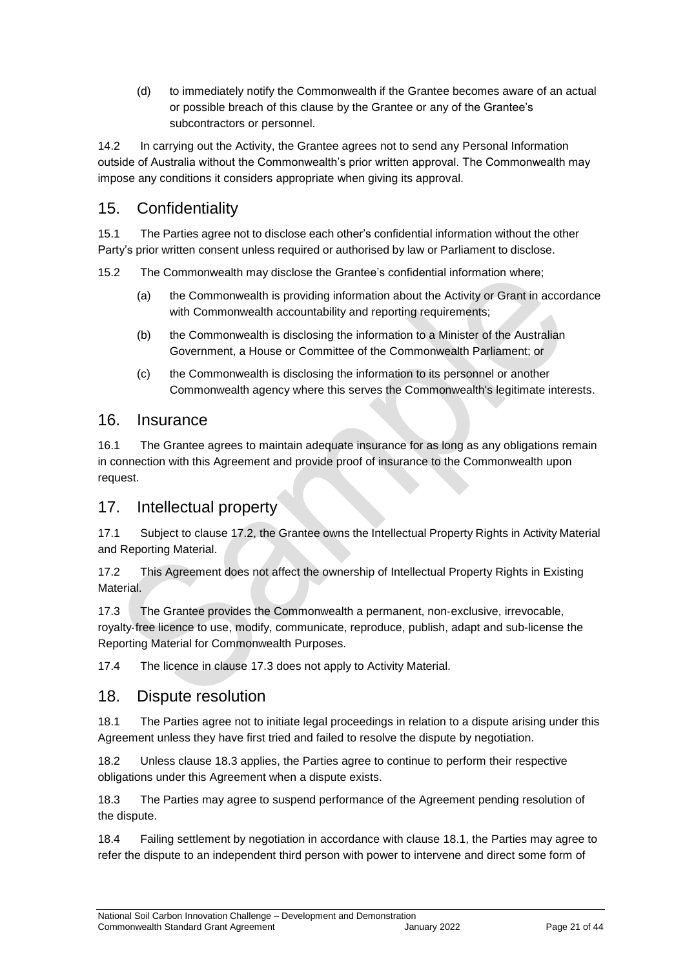(d) to immediately notify the Commonwealth if the Grantee becomes aware of an actual or possible breach of this clause by the Grantee or any of the Grantee's subcontractors or personnel.

14.2 In carrying out the Activity, the Grantee agrees not to send any Personal Information outside of Australia without the Commonwealth's prior written approval. The Commonwealth may impose any conditions it considers appropriate when giving its approval.

## 15. Confidentiality

15.1 The Parties agree not to disclose each other's confidential information without the other Party's prior written consent unless required or authorised by law or Parliament to disclose.

15.2 The Commonwealth may disclose the Grantee's confidential information where;

- (a) the Commonwealth is providing information about the Activity or Grant in accordance with Commonwealth accountability and reporting requirements;
- (b) the Commonwealth is disclosing the information to a Minister of the Australian Government, a House or Committee of the Commonwealth Parliament; or
- (c) the Commonwealth is disclosing the information to its personnel or another Commonwealth agency where this serves the Commonwealth's legitimate interests.

## 16. Insurance

16.1 The Grantee agrees to maintain adequate insurance for as long as any obligations remain in connection with this Agreement and provide proof of insurance to the Commonwealth upon request.

## 17. Intellectual property

17.1 Subject to clause 17.2, the Grantee owns the Intellectual Property Rights in Activity Material and Reporting Material.

17.2 This Agreement does not affect the ownership of Intellectual Property Rights in Existing **Material** 

17.3 The Grantee provides the Commonwealth a permanent, non-exclusive, irrevocable, royalty‐free licence to use, modify, communicate, reproduce, publish, adapt and sub-license the Reporting Material for Commonwealth Purposes.

17.4 The licence in clause 17.3 does not apply to Activity Material.

#### 18. Dispute resolution

18.1 The Parties agree not to initiate legal proceedings in relation to a dispute arising under this Agreement unless they have first tried and failed to resolve the dispute by negotiation.

18.2 Unless clause 18.3 applies, the Parties agree to continue to perform their respective obligations under this Agreement when a dispute exists.

18.3 The Parties may agree to suspend performance of the Agreement pending resolution of the dispute.

18.4 Failing settlement by negotiation in accordance with clause 18.1, the Parties may agree to refer the dispute to an independent third person with power to intervene and direct some form of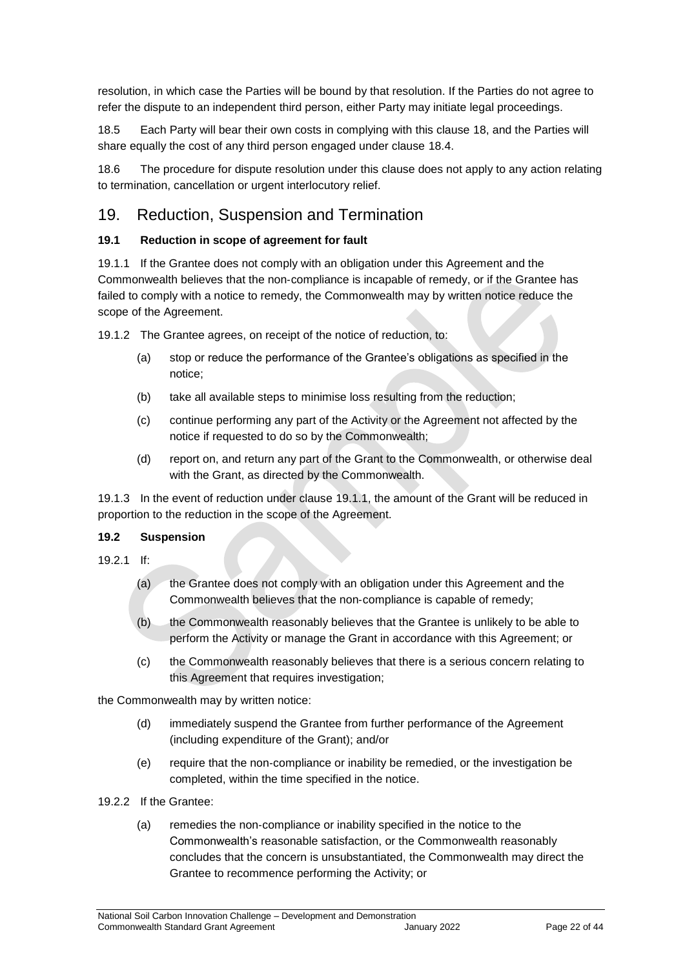resolution, in which case the Parties will be bound by that resolution. If the Parties do not agree to refer the dispute to an independent third person, either Party may initiate legal proceedings.

18.5 Each Party will bear their own costs in complying with this clause 18, and the Parties will share equally the cost of any third person engaged under clause 18.4.

18.6 The procedure for dispute resolution under this clause does not apply to any action relating to termination, cancellation or urgent interlocutory relief.

## 19. Reduction, Suspension and Termination

#### **19.1 Reduction in scope of agreement for fault**

19.1.1 If the Grantee does not comply with an obligation under this Agreement and the Commonwealth believes that the non‐compliance is incapable of remedy, or if the Grantee has failed to comply with a notice to remedy, the Commonwealth may by written notice reduce the scope of the Agreement.

19.1.2 The Grantee agrees, on receipt of the notice of reduction, to:

- (a) stop or reduce the performance of the Grantee's obligations as specified in the notice;
- (b) take all available steps to minimise loss resulting from the reduction;
- (c) continue performing any part of the Activity or the Agreement not affected by the notice if requested to do so by the Commonwealth;
- (d) report on, and return any part of the Grant to the Commonwealth, or otherwise deal with the Grant, as directed by the Commonwealth.

19.1.3 In the event of reduction under clause 19.1.1, the amount of the Grant will be reduced in proportion to the reduction in the scope of the Agreement.

#### **19.2 Suspension**

- 19.2.1 If:
	- (a) the Grantee does not comply with an obligation under this Agreement and the Commonwealth believes that the non‐compliance is capable of remedy;
	- (b) the Commonwealth reasonably believes that the Grantee is unlikely to be able to perform the Activity or manage the Grant in accordance with this Agreement; or
	- (c) the Commonwealth reasonably believes that there is a serious concern relating to this Agreement that requires investigation;

the Commonwealth may by written notice:

- (d) immediately suspend the Grantee from further performance of the Agreement (including expenditure of the Grant); and/or
- (e) require that the non‐compliance or inability be remedied, or the investigation be completed, within the time specified in the notice.
- 19.2.2 If the Grantee:
	- (a) remedies the non‐compliance or inability specified in the notice to the Commonwealth's reasonable satisfaction, or the Commonwealth reasonably concludes that the concern is unsubstantiated, the Commonwealth may direct the Grantee to recommence performing the Activity; or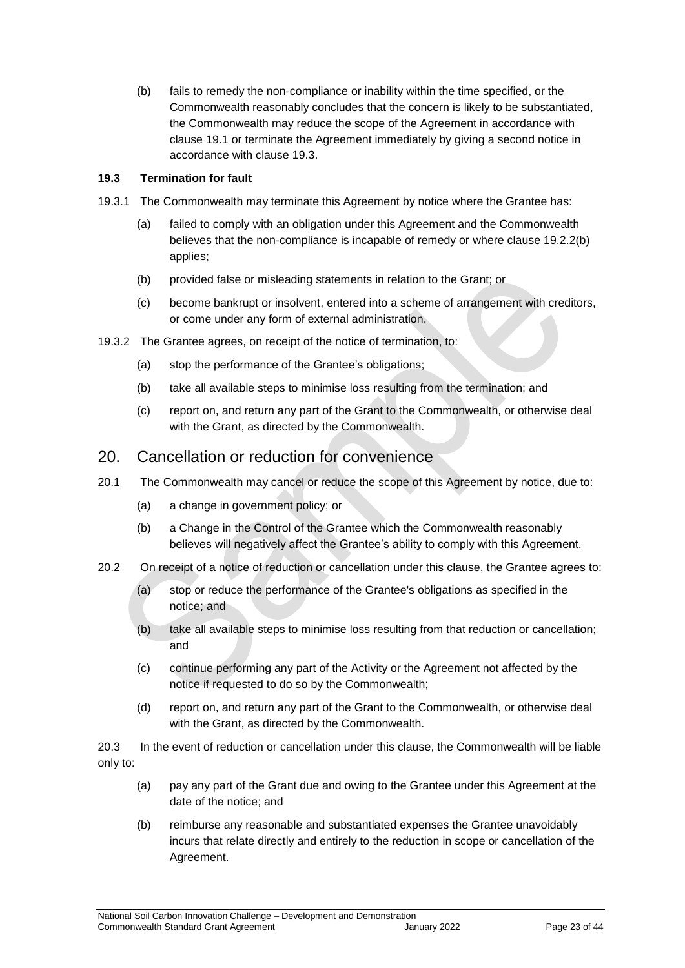(b) fails to remedy the non‐compliance or inability within the time specified, or the Commonwealth reasonably concludes that the concern is likely to be substantiated, the Commonwealth may reduce the scope of the Agreement in accordance with clause 19.1 or terminate the Agreement immediately by giving a second notice in accordance with clause 19.3.

#### **19.3 Termination for fault**

- 19.3.1 The Commonwealth may terminate this Agreement by notice where the Grantee has:
	- (a) failed to comply with an obligation under this Agreement and the Commonwealth believes that the non-compliance is incapable of remedy or where clause 19.2.2(b) applies;
	- (b) provided false or misleading statements in relation to the Grant; or
	- (c) become bankrupt or insolvent, entered into a scheme of arrangement with creditors, or come under any form of external administration.
- 19.3.2 The Grantee agrees, on receipt of the notice of termination, to:
	- (a) stop the performance of the Grantee's obligations;
	- (b) take all available steps to minimise loss resulting from the termination; and
	- (c) report on, and return any part of the Grant to the Commonwealth, or otherwise deal with the Grant, as directed by the Commonwealth.

#### 20. Cancellation or reduction for convenience

- 20.1 The Commonwealth may cancel or reduce the scope of this Agreement by notice, due to:
	- (a) a change in government policy; or
	- (b) a Change in the Control of the Grantee which the Commonwealth reasonably believes will negatively affect the Grantee's ability to comply with this Agreement.
- 20.2 On receipt of a notice of reduction or cancellation under this clause, the Grantee agrees to:
	- (a) stop or reduce the performance of the Grantee's obligations as specified in the notice; and
	- (b) take all available steps to minimise loss resulting from that reduction or cancellation; and
	- (c) continue performing any part of the Activity or the Agreement not affected by the notice if requested to do so by the Commonwealth;
	- (d) report on, and return any part of the Grant to the Commonwealth, or otherwise deal with the Grant, as directed by the Commonwealth.

20.3 In the event of reduction or cancellation under this clause, the Commonwealth will be liable only to:

- (a) pay any part of the Grant due and owing to the Grantee under this Agreement at the date of the notice; and
- (b) reimburse any reasonable and substantiated expenses the Grantee unavoidably incurs that relate directly and entirely to the reduction in scope or cancellation of the Agreement.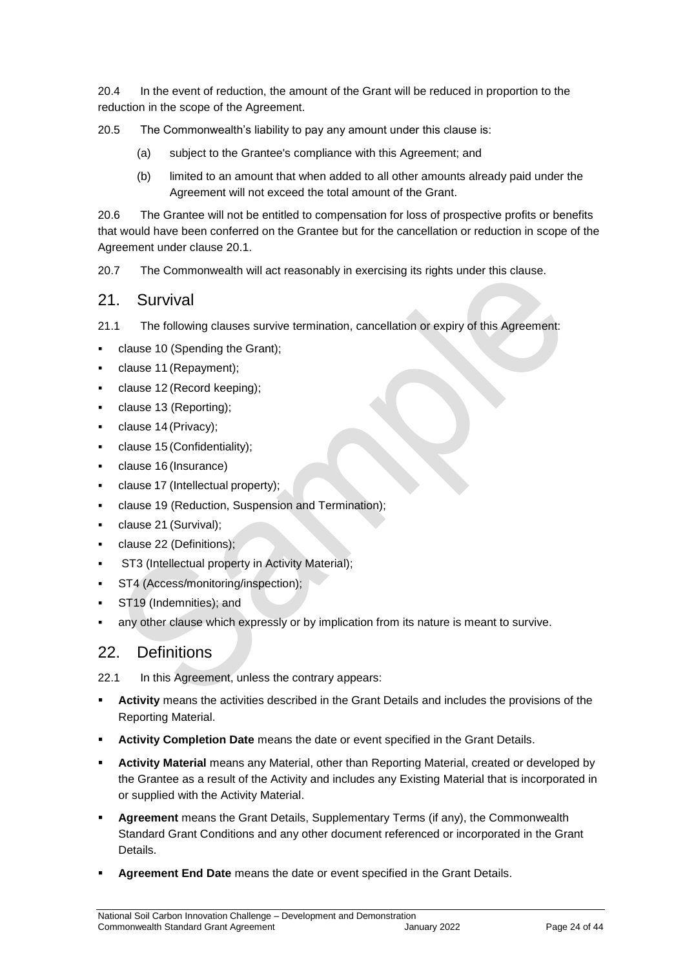20.4 In the event of reduction, the amount of the Grant will be reduced in proportion to the reduction in the scope of the Agreement.

20.5 The Commonwealth's liability to pay any amount under this clause is:

- (a) subject to the Grantee's compliance with this Agreement; and
- (b) limited to an amount that when added to all other amounts already paid under the Agreement will not exceed the total amount of the Grant.

20.6 The Grantee will not be entitled to compensation for loss of prospective profits or benefits that would have been conferred on the Grantee but for the cancellation or reduction in scope of the Agreement under clause 20.1.

20.7 The Commonwealth will act reasonably in exercising its rights under this clause.

#### 21. Survival

21.1 The following clauses survive termination, cancellation or expiry of this Agreement:

- clause 10 (Spending the Grant);
- clause 11 (Repayment);
- clause 12 (Record keeping);
- clause 13 (Reporting);
- clause 14 (Privacy);
- clause 15 (Confidentiality);
- clause 16 (Insurance)
- clause 17 (Intellectual property);
- clause 19 (Reduction, Suspension and Termination);
- clause 21 (Survival);
- clause 22 (Definitions);
- ST3 (Intellectual property in Activity Material);
- ST4 (Access/monitoring/inspection);
- ST19 (Indemnities); and
- any other clause which expressly or by implication from its nature is meant to survive.

#### 22. Definitions

22.1 In this Agreement, unless the contrary appears:

- **Activity** means the activities described in the Grant Details and includes the provisions of the Reporting Material.
- **Activity Completion Date** means the date or event specified in the Grant Details.
- **Activity Material** means any Material, other than Reporting Material, created or developed by the Grantee as a result of the Activity and includes any Existing Material that is incorporated in or supplied with the Activity Material.
- **Agreement** means the Grant Details, Supplementary Terms (if any), the Commonwealth Standard Grant Conditions and any other document referenced or incorporated in the Grant Details.
- **Agreement End Date** means the date or event specified in the Grant Details.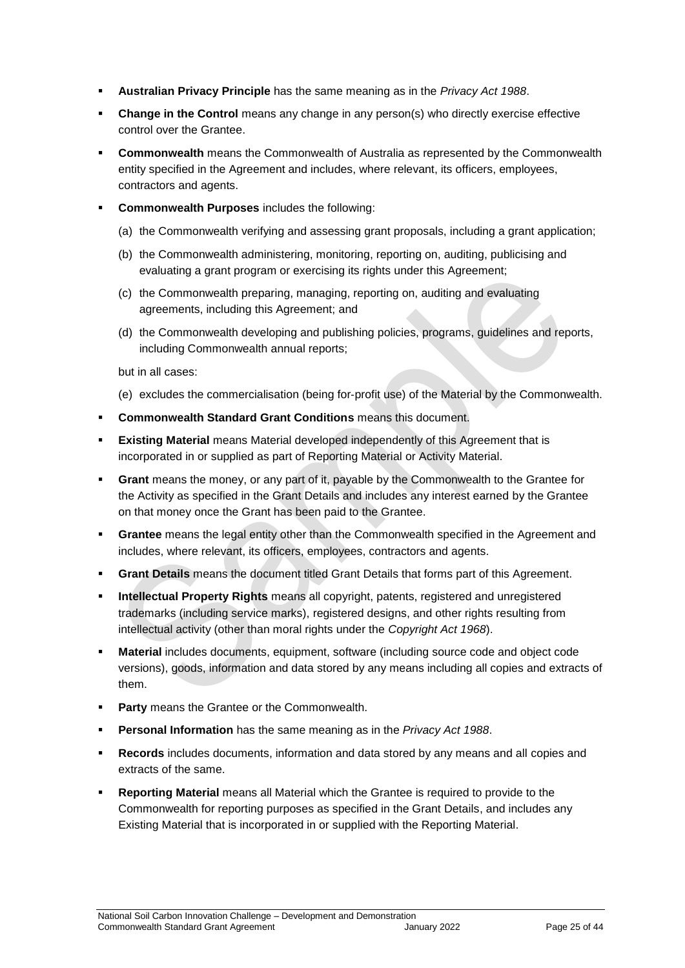- **Australian Privacy Principle** has the same meaning as in the *Privacy Act 1988*.
- **Change in the Control** means any change in any person(s) who directly exercise effective control over the Grantee.
- **Commonwealth** means the Commonwealth of Australia as represented by the Commonwealth entity specified in the Agreement and includes, where relevant, its officers, employees, contractors and agents.
- **Commonwealth Purposes** includes the following:
	- (a) the Commonwealth verifying and assessing grant proposals, including a grant application;
	- (b) the Commonwealth administering, monitoring, reporting on, auditing, publicising and evaluating a grant program or exercising its rights under this Agreement;
	- (c) the Commonwealth preparing, managing, reporting on, auditing and evaluating agreements, including this Agreement; and
	- (d) the Commonwealth developing and publishing policies, programs, guidelines and reports, including Commonwealth annual reports;

but in all cases:

- (e) excludes the commercialisation (being for‐profit use) of the Material by the Commonwealth.
- **Commonwealth Standard Grant Conditions** means this document.
- **Existing Material** means Material developed independently of this Agreement that is incorporated in or supplied as part of Reporting Material or Activity Material.
- **Grant** means the money, or any part of it, payable by the Commonwealth to the Grantee for the Activity as specified in the Grant Details and includes any interest earned by the Grantee on that money once the Grant has been paid to the Grantee.
- **Grantee** means the legal entity other than the Commonwealth specified in the Agreement and includes, where relevant, its officers, employees, contractors and agents.
- **Grant Details** means the document titled Grant Details that forms part of this Agreement.
- **Intellectual Property Rights** means all copyright, patents, registered and unregistered trademarks (including service marks), registered designs, and other rights resulting from intellectual activity (other than moral rights under the *Copyright Act 1968*).
- **Material** includes documents, equipment, software (including source code and object code versions), goods, information and data stored by any means including all copies and extracts of them.
- **Party** means the Grantee or the Commonwealth.
- **Personal Information** has the same meaning as in the *Privacy Act 1988*.
- **Records** includes documents, information and data stored by any means and all copies and extracts of the same.
- **Reporting Material** means all Material which the Grantee is required to provide to the Commonwealth for reporting purposes as specified in the Grant Details, and includes any Existing Material that is incorporated in or supplied with the Reporting Material.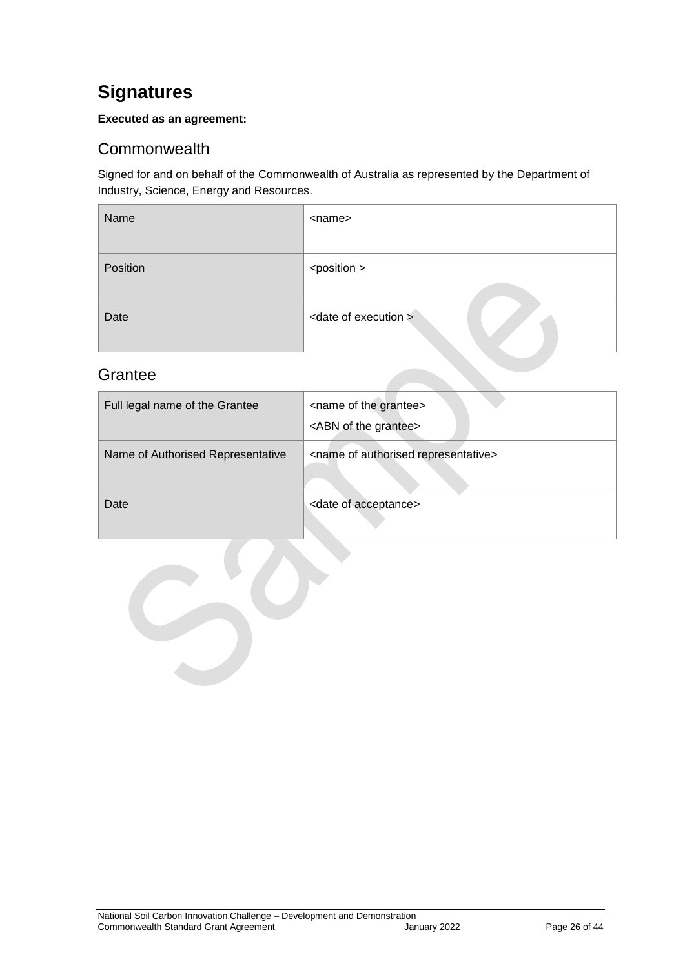## <span id="page-25-0"></span>**Signatures**

#### **Executed as an agreement:**

## <span id="page-25-1"></span>**Commonwealth**

Signed for and on behalf of the Commonwealth of Australia as represented by the Department of Industry, Science, Energy and Resources.

| Name     | <name></name>                    |
|----------|----------------------------------|
| Position | <position></position>            |
| Date     | <date execution="" of=""></date> |

## <span id="page-25-2"></span>**Grantee**

| Full legal name of the Grantee    | <name grantee="" of="" the=""><br/><abn grantee="" of="" the=""></abn></name> |
|-----------------------------------|-------------------------------------------------------------------------------|
| Name of Authorised Representative | <name authorised="" of="" representative=""></name>                           |
| Date                              | <date acceptance="" of=""></date>                                             |

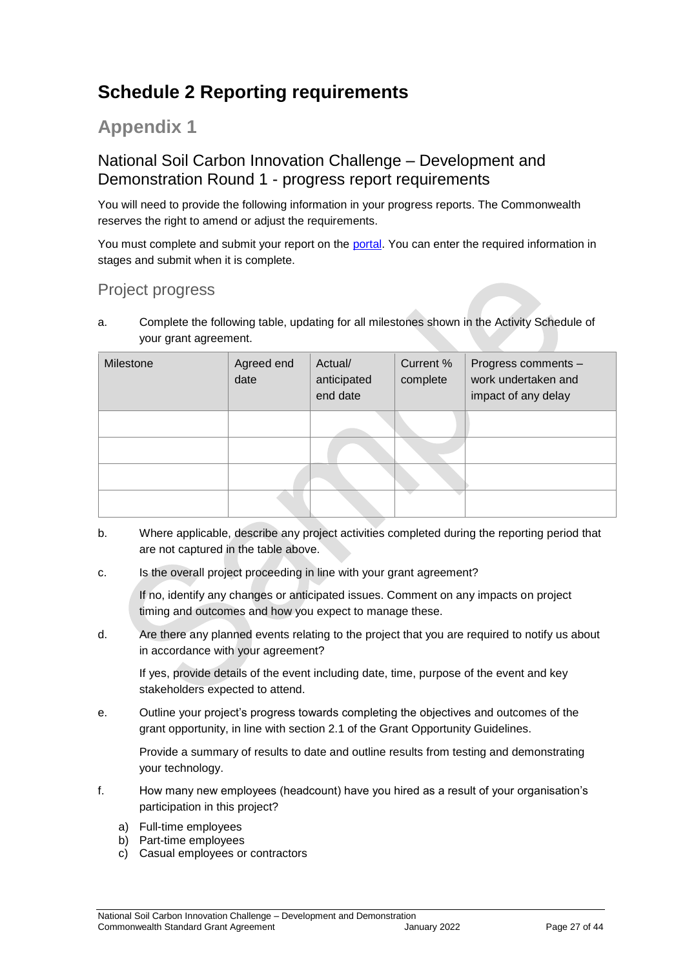## <span id="page-26-0"></span>**Schedule 2 Reporting requirements**

## **Appendix 1**

## National Soil Carbon Innovation Challenge – Development and Demonstration Round 1 - progress report requirements

You will need to provide the following information in your progress reports. The Commonwealth reserves the right to amend or adjust the requirements.

You must complete and submit your report on the [portal.](https://portal.business.gov.au/) You can enter the required information in stages and submit when it is complete.

## Project progress

a. Complete the following table, updating for all milestones shown in the Activity Schedule of your grant agreement.

| Milestone | Agreed end<br>date | Actual/<br>anticipated<br>end date | Current %<br>complete | Progress comments -<br>work undertaken and<br>impact of any delay |
|-----------|--------------------|------------------------------------|-----------------------|-------------------------------------------------------------------|
|           |                    |                                    |                       |                                                                   |
|           |                    |                                    |                       |                                                                   |
|           |                    |                                    |                       |                                                                   |
|           |                    |                                    |                       |                                                                   |

- b. Where applicable, describe any project activities completed during the reporting period that are not captured in the table above.
- c. Is the overall project proceeding in line with your grant agreement?

If no, identify any changes or anticipated issues. Comment on any impacts on project timing and outcomes and how you expect to manage these.

d. Are there any planned events relating to the project that you are required to notify us about in accordance with your agreement?

If yes, provide details of the event including date, time, purpose of the event and key stakeholders expected to attend.

e. Outline your project's progress towards completing the objectives and outcomes of the grant opportunity, in line with section 2.1 of the Grant Opportunity Guidelines.

Provide a summary of results to date and outline results from testing and demonstrating your technology.

- f. How many new employees (headcount) have you hired as a result of your organisation's participation in this project?
	- a) Full-time employees
	- b) Part-time employees
	- c) Casual employees or contractors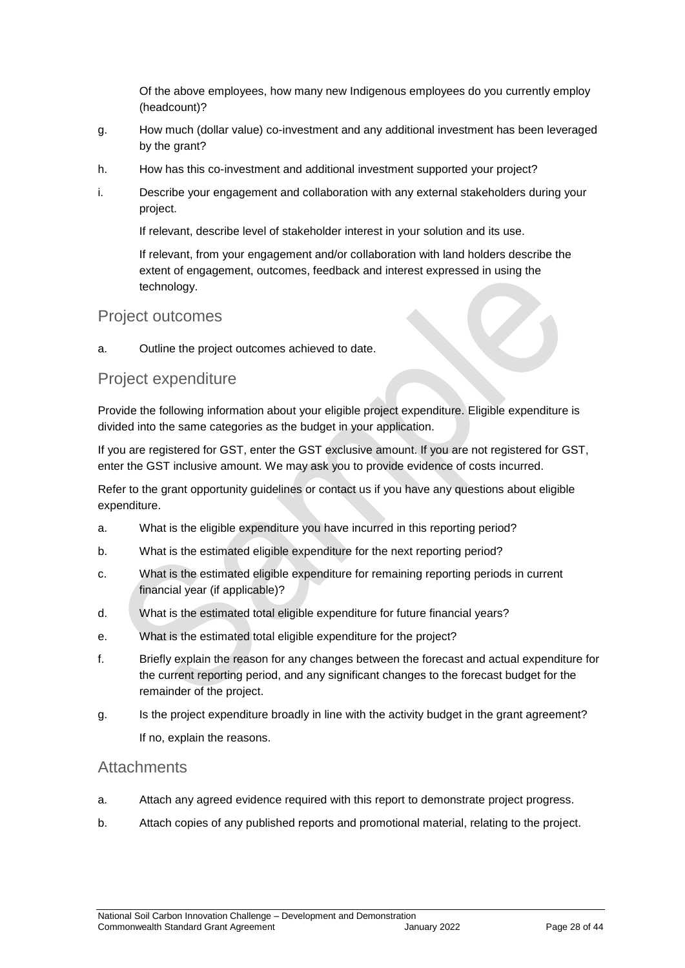Of the above employees, how many new Indigenous employees do you currently employ (headcount)?

- g. How much (dollar value) co-investment and any additional investment has been leveraged by the grant?
- h. How has this co-investment and additional investment supported your project?
- i. Describe your engagement and collaboration with any external stakeholders during your project.

If relevant, describe level of stakeholder interest in your solution and its use.

If relevant, from your engagement and/or collaboration with land holders describe the extent of engagement, outcomes, feedback and interest expressed in using the technology.

#### Project outcomes

a. Outline the project outcomes achieved to date.

#### Project expenditure

Provide the following information about your eligible project expenditure. Eligible expenditure is divided into the same categories as the budget in your application.

If you are registered for GST, enter the GST exclusive amount. If you are not registered for GST, enter the GST inclusive amount. We may ask you to provide evidence of costs incurred.

Refer to the grant opportunity guidelines or contact us if you have any questions about eligible expenditure.

- a. What is the eligible expenditure you have incurred in this reporting period?
- b. What is the estimated eligible expenditure for the next reporting period?
- c. What is the estimated eligible expenditure for remaining reporting periods in current financial year (if applicable)?
- d. What is the estimated total eligible expenditure for future financial years?
- e. What is the estimated total eligible expenditure for the project?
- f. Briefly explain the reason for any changes between the forecast and actual expenditure for the current reporting period, and any significant changes to the forecast budget for the remainder of the project.
- g. Is the project expenditure broadly in line with the activity budget in the grant agreement? If no, explain the reasons.

#### **Attachments**

- a. Attach any agreed evidence required with this report to demonstrate project progress.
- b. Attach copies of any published reports and promotional material, relating to the project.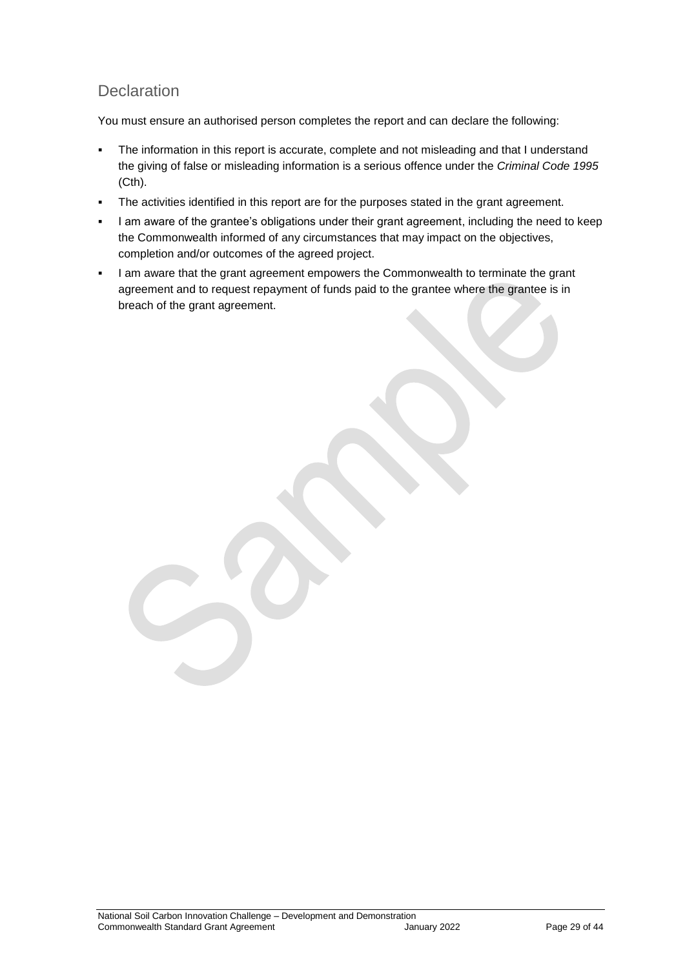## **Declaration**

You must ensure an authorised person completes the report and can declare the following:

- The information in this report is accurate, complete and not misleading and that I understand the giving of false or misleading information is a serious offence under the *Criminal Code 1995* (Cth).
- The activities identified in this report are for the purposes stated in the grant agreement.
- I am aware of the grantee's obligations under their grant agreement, including the need to keep the Commonwealth informed of any circumstances that may impact on the objectives, completion and/or outcomes of the agreed project.
- I am aware that the grant agreement empowers the Commonwealth to terminate the grant agreement and to request repayment of funds paid to the grantee where the grantee is in breach of the grant agreement.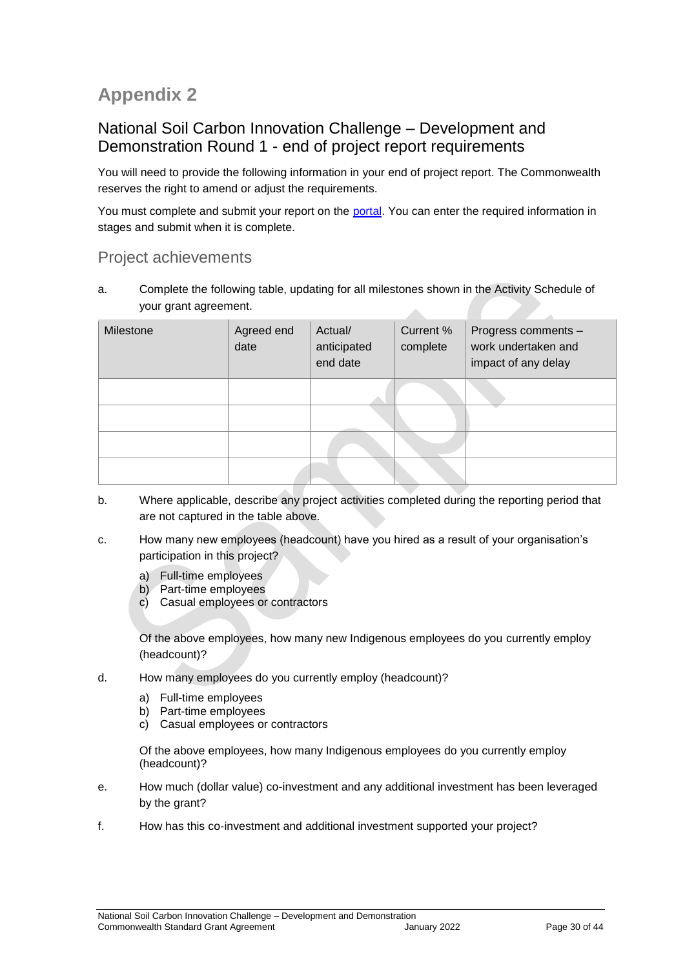## **Appendix 2**

## National Soil Carbon Innovation Challenge – Development and Demonstration Round 1 - end of project report requirements

You will need to provide the following information in your end of project report. The Commonwealth reserves the right to amend or adjust the requirements.

You must complete and submit your report on the [portal.](https://portal.business.gov.au/) You can enter the required information in stages and submit when it is complete.

## Project achievements

a. Complete the following table, updating for all milestones shown in the Activity Schedule of your grant agreement. A

| Milestone | Agreed end<br>date | Actual/<br>anticipated<br>end date | Current %<br>complete | Progress comments -<br>work undertaken and<br>impact of any delay |
|-----------|--------------------|------------------------------------|-----------------------|-------------------------------------------------------------------|
|           |                    |                                    |                       |                                                                   |
|           |                    |                                    |                       |                                                                   |
|           |                    |                                    |                       |                                                                   |
|           |                    |                                    |                       |                                                                   |

- b. Where applicable, describe any project activities completed during the reporting period that are not captured in the table above.
- c. How many new employees (headcount) have you hired as a result of your organisation's participation in this project?
	- a) Full-time employees
	- b) Part-time employees
	- c) Casual employees or contractors

Of the above employees, how many new Indigenous employees do you currently employ (headcount)?

- d. How many employees do you currently employ (headcount)?
	- a) Full-time employees
	- b) Part-time employees
	- c) Casual employees or contractors

Of the above employees, how many Indigenous employees do you currently employ (headcount)?

- e. How much (dollar value) co-investment and any additional investment has been leveraged by the grant?
- f. How has this co-investment and additional investment supported your project?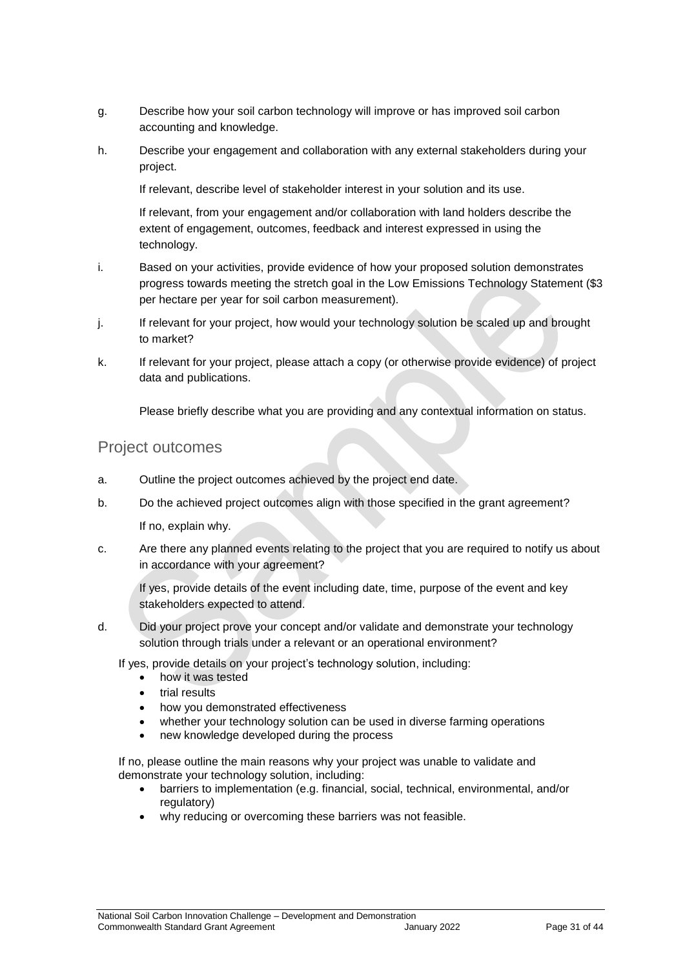- g. Describe how your soil carbon technology will improve or has improved soil carbon accounting and knowledge.
- h. Describe your engagement and collaboration with any external stakeholders during your project.

If relevant, describe level of stakeholder interest in your solution and its use.

If relevant, from your engagement and/or collaboration with land holders describe the extent of engagement, outcomes, feedback and interest expressed in using the technology.

- i. Based on your activities, provide evidence of how your proposed solution demonstrates progress towards meeting the stretch goal in the Low Emissions Technology Statement (\$3 per hectare per year for soil carbon measurement).
- j. If relevant for your project, how would your technology solution be scaled up and brought to market?
- k. If relevant for your project, please attach a copy (or otherwise provide evidence) of project data and publications.

Please briefly describe what you are providing and any contextual information on status.

#### Project outcomes

- a. Outline the project outcomes achieved by the project end date.
- b. Do the achieved project outcomes align with those specified in the grant agreement?

If no, explain why.

c. Are there any planned events relating to the project that you are required to notify us about in accordance with your agreement?

If yes, provide details of the event including date, time, purpose of the event and key stakeholders expected to attend.

d. Did your project prove your concept and/or validate and demonstrate your technology solution through trials under a relevant or an operational environment?

If yes, provide details on your project's technology solution, including:

- how it was tested
- trial results
- how you demonstrated effectiveness
- whether your technology solution can be used in diverse farming operations
- new knowledge developed during the process

If no, please outline the main reasons why your project was unable to validate and demonstrate your technology solution, including:

- barriers to implementation (e.g. financial, social, technical, environmental, and/or regulatory)
- why reducing or overcoming these barriers was not feasible.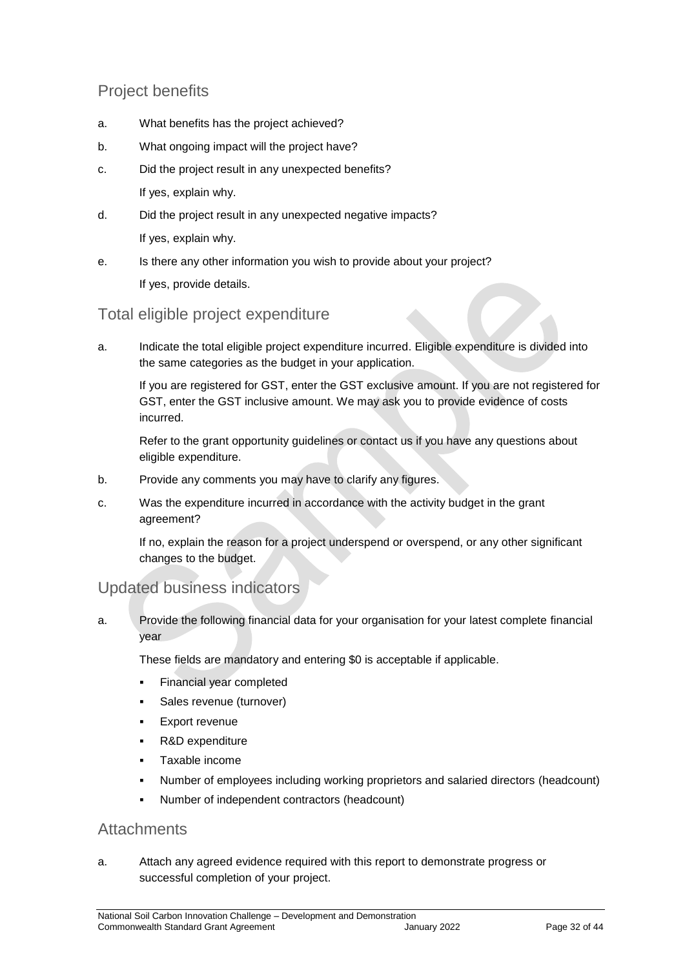## Project benefits

- a. What benefits has the project achieved?
- b. What ongoing impact will the project have?
- c. Did the project result in any unexpected benefits? If yes, explain why.
- d. Did the project result in any unexpected negative impacts? If yes, explain why.
- e. Is there any other information you wish to provide about your project? If yes, provide details.

## Total eligible project expenditure

a. Indicate the total eligible project expenditure incurred. Eligible expenditure is divided into the same categories as the budget in your application.

If you are registered for GST, enter the GST exclusive amount. If you are not registered for GST, enter the GST inclusive amount. We may ask you to provide evidence of costs incurred.

Refer to the grant opportunity guidelines or contact us if you have any questions about eligible expenditure.

- b. Provide any comments you may have to clarify any figures.
- c. Was the expenditure incurred in accordance with the activity budget in the grant agreement?

If no, explain the reason for a project underspend or overspend, or any other significant changes to the budget.

## Updated business indicators

a. Provide the following financial data for your organisation for your latest complete financial year

These fields are mandatory and entering \$0 is acceptable if applicable.

- Financial year completed
- Sales revenue (turnover)
- Export revenue
- R&D expenditure
- Taxable income
- Number of employees including working proprietors and salaried directors (headcount)
- Number of independent contractors (headcount)

### **Attachments**

a. Attach any agreed evidence required with this report to demonstrate progress or successful completion of your project.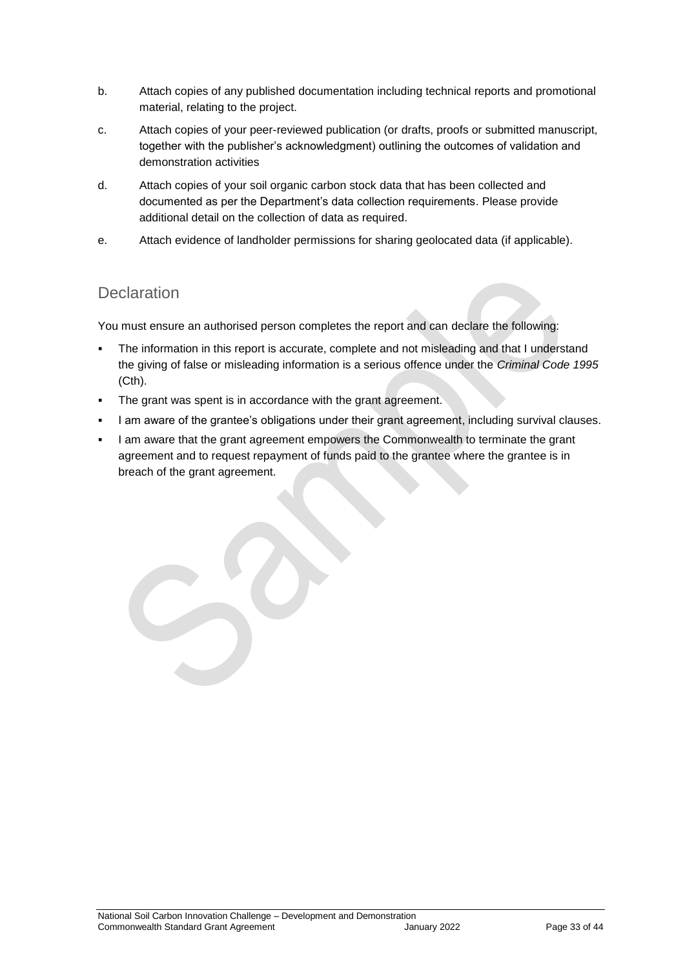- b. Attach copies of any published documentation including technical reports and promotional material, relating to the project.
- c. Attach copies of your peer-reviewed publication (or drafts, proofs or submitted manuscript, together with the publisher's acknowledgment) outlining the outcomes of validation and demonstration activities
- d. Attach copies of your soil organic carbon stock data that has been collected and documented as per the Department's data collection requirements. Please provide additional detail on the collection of data as required.
- e. Attach evidence of landholder permissions for sharing geolocated data (if applicable).

## **Declaration**

You must ensure an authorised person completes the report and can declare the following:

- The information in this report is accurate, complete and not misleading and that I understand the giving of false or misleading information is a serious offence under the *Criminal Code 1995* (Cth).
- The grant was spent is in accordance with the grant agreement.
- I am aware of the grantee's obligations under their grant agreement, including survival clauses.
- I am aware that the grant agreement empowers the Commonwealth to terminate the grant agreement and to request repayment of funds paid to the grantee where the grantee is in breach of the grant agreement.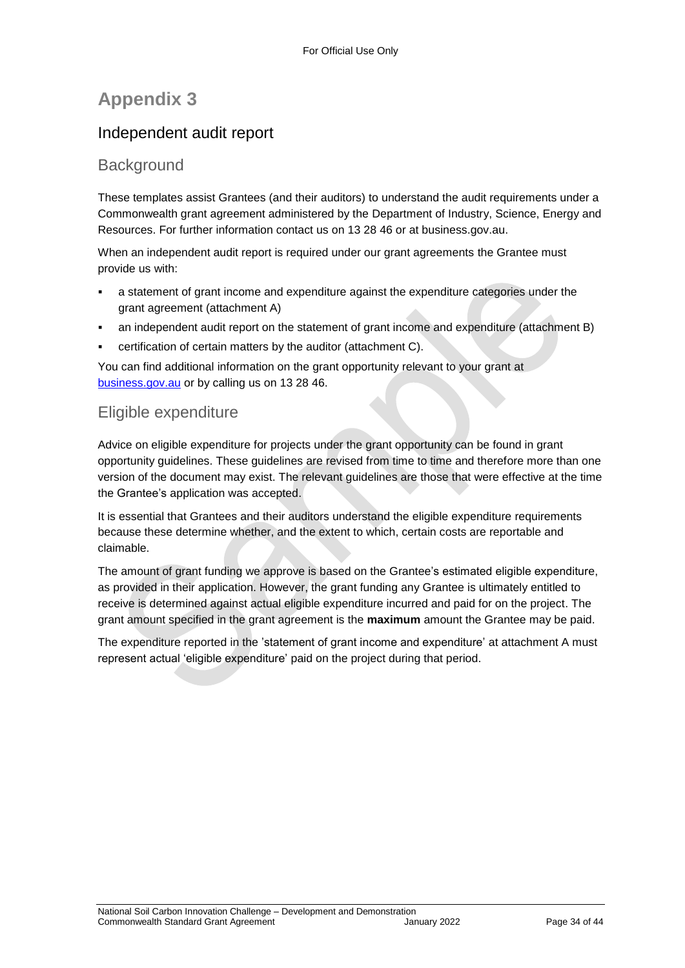## **Appendix 3**

## Independent audit report

### **Background**

These templates assist Grantees (and their auditors) to understand the audit requirements under a Commonwealth grant agreement administered by the Department of Industry, Science, Energy and Resources. For further information contact us on 13 28 46 or at business.gov.au.

When an independent audit report is required under our grant agreements the Grantee must provide us with:

- a statement of grant income and expenditure against the expenditure categories under the grant agreement (attachment A)
- an independent audit report on the statement of grant income and expenditure (attachment B)
- certification of certain matters by the auditor (attachment C).

You can find additional information on the grant opportunity relevant to your grant at [business.gov.au](https://www.business.gov.au/) or by calling us on 13 28 46.

## Eligible expenditure

Advice on eligible expenditure for projects under the grant opportunity can be found in grant opportunity guidelines. These guidelines are revised from time to time and therefore more than one version of the document may exist. The relevant guidelines are those that were effective at the time the Grantee's application was accepted.

It is essential that Grantees and their auditors understand the eligible expenditure requirements because these determine whether, and the extent to which, certain costs are reportable and claimable.

The amount of grant funding we approve is based on the Grantee's estimated eligible expenditure, as provided in their application. However, the grant funding any Grantee is ultimately entitled to receive is determined against actual eligible expenditure incurred and paid for on the project. The grant amount specified in the grant agreement is the **maximum** amount the Grantee may be paid.

The expenditure reported in the 'statement of grant income and expenditure' at attachment A must represent actual 'eligible expenditure' paid on the project during that period.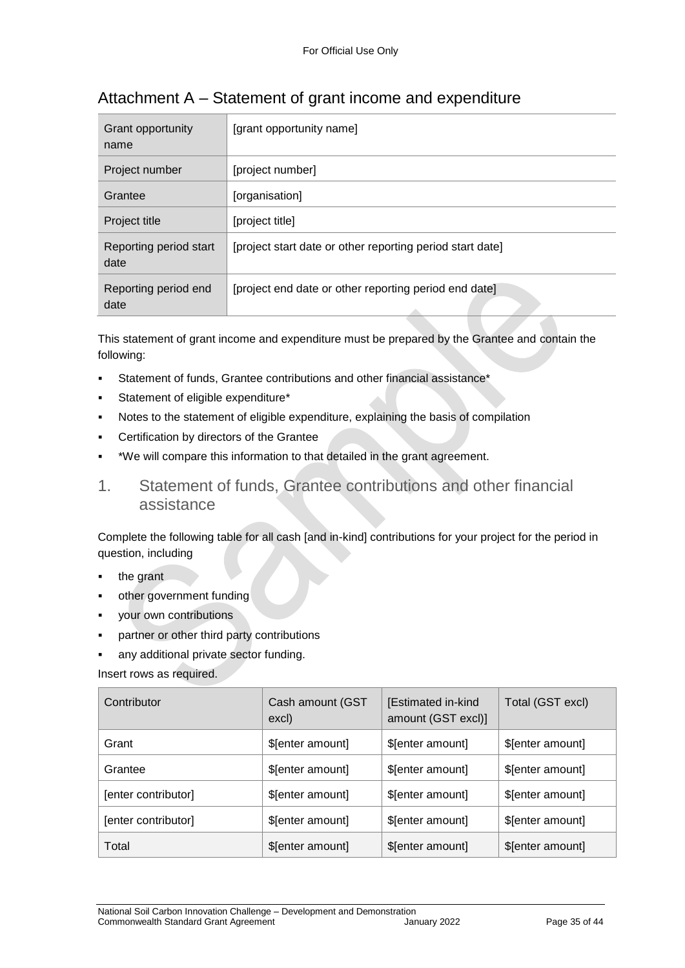| Grant opportunity<br>name      | [grant opportunity name]                                  |
|--------------------------------|-----------------------------------------------------------|
| Project number                 | [project number]                                          |
| Grantee                        | [organisation]                                            |
| Project title                  | [project title]                                           |
| Reporting period start<br>date | [project start date or other reporting period start date] |
| Reporting period end<br>date   | [project end date or other reporting period end date]     |

## Attachment A – Statement of grant income and expenditure

This statement of grant income and expenditure must be prepared by the Grantee and contain the following:

- Statement of funds, Grantee contributions and other financial assistance\*
- Statement of eligible expenditure\*
- Notes to the statement of eligible expenditure, explaining the basis of compilation
- Certification by directors of the Grantee
- \*We will compare this information to that detailed in the grant agreement.
- 1. Statement of funds, Grantee contributions and other financial assistance

Complete the following table for all cash [and in-kind] contributions for your project for the period in question, including

- the grant
- other government funding
- your own contributions
- partner or other third party contributions
- any additional private sector funding.

Insert rows as required.

| Contributor         | Cash amount (GST<br>excl) | [Estimated in-kind<br>amount (GST excl)] | Total (GST excl) |
|---------------------|---------------------------|------------------------------------------|------------------|
| Grant               | \$[enter amount]          | \$[enter amount]                         | \$[enter amount] |
| Grantee             | \$[enter amount]          | \$[enter amount]                         | \$[enter amount] |
| [enter contributor] | \$[enter amount]          | \$[enter amount]                         | \$[enter amount] |
| [enter contributor] | \$[enter amount]          | \$[enter amount]                         | \$[enter amount] |
| Total               | \$[enter amount]          | \$[enter amount]                         | \$[enter amount] |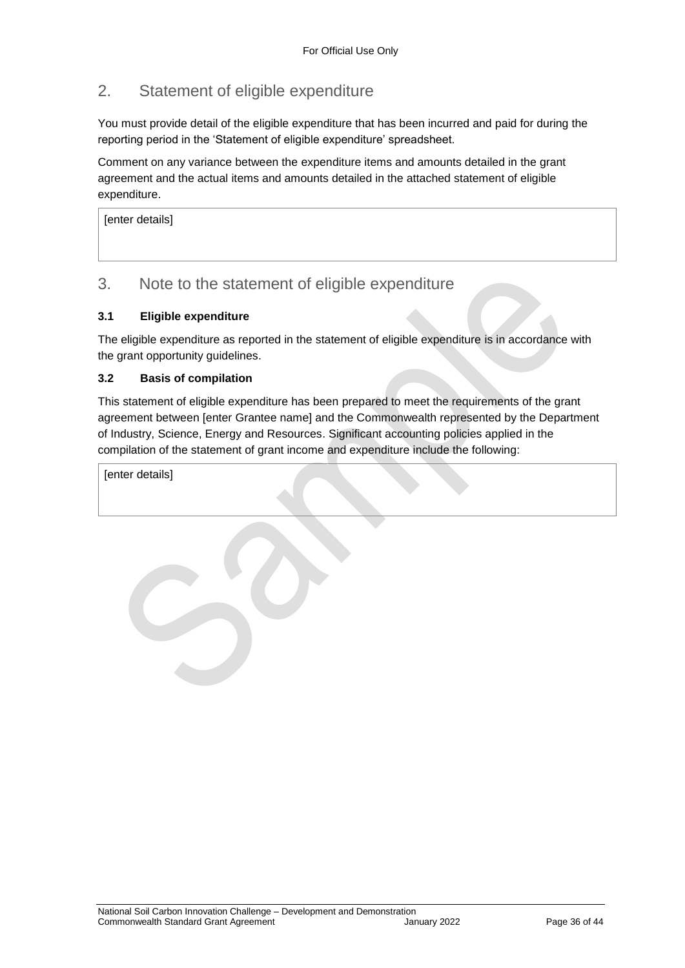## 2. Statement of eligible expenditure

You must provide detail of the eligible expenditure that has been incurred and paid for during the reporting period in the 'Statement of eligible expenditure' spreadsheet.

Comment on any variance between the expenditure items and amounts detailed in the grant agreement and the actual items and amounts detailed in the attached statement of eligible expenditure.

[enter details]

## 3. Note to the statement of eligible expenditure

#### **3.1 Eligible expenditure**

The eligible expenditure as reported in the statement of eligible expenditure is in accordance with the grant opportunity guidelines.

#### **3.2 Basis of compilation**

This statement of eligible expenditure has been prepared to meet the requirements of the grant agreement between [enter Grantee name] and the Commonwealth represented by the Department of Industry, Science, Energy and Resources. Significant accounting policies applied in the compilation of the statement of grant income and expenditure include the following:

[enter details]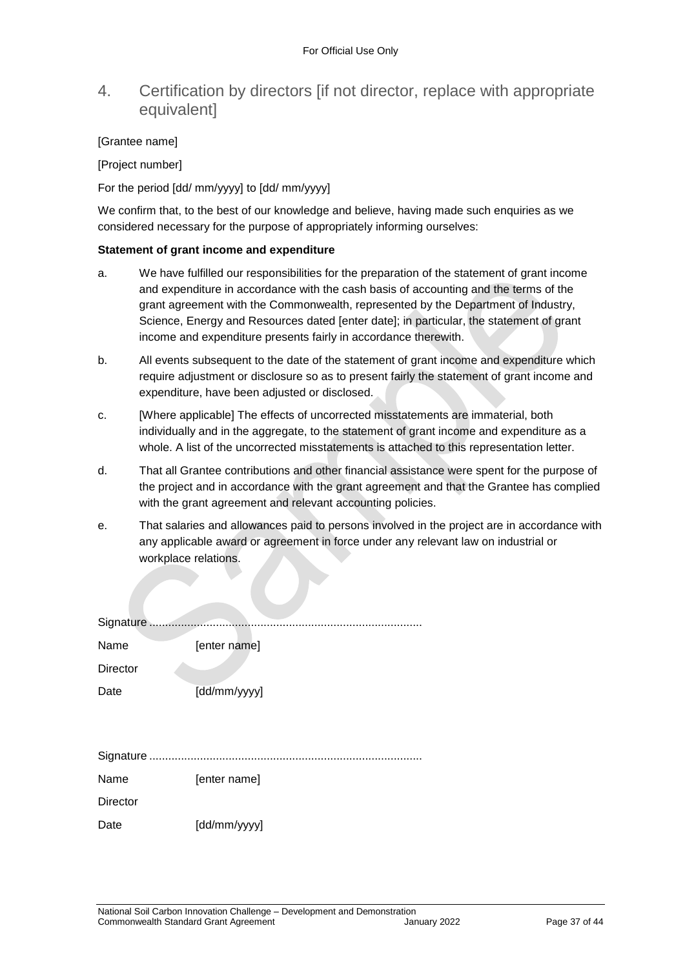## 4. Certification by directors [if not director, replace with appropriate equivalent]

#### [Grantee name]

[Project number]

For the period [dd/ mm/yyyy] to [dd/ mm/yyyy]

We confirm that, to the best of our knowledge and believe, having made such enquiries as we considered necessary for the purpose of appropriately informing ourselves:

#### **Statement of grant income and expenditure**

- a. We have fulfilled our responsibilities for the preparation of the statement of grant income and expenditure in accordance with the cash basis of accounting and the terms of the grant agreement with the Commonwealth, represented by the Department of Industry, Science, Energy and Resources dated [enter date]; in particular, the statement of grant income and expenditure presents fairly in accordance therewith.
- b. All events subsequent to the date of the statement of grant income and expenditure which require adjustment or disclosure so as to present fairly the statement of grant income and expenditure, have been adjusted or disclosed.
- c. [Where applicable] The effects of uncorrected misstatements are immaterial, both individually and in the aggregate, to the statement of grant income and expenditure as a whole. A list of the uncorrected misstatements is attached to this representation letter.
- d. That all Grantee contributions and other financial assistance were spent for the purpose of the project and in accordance with the grant agreement and that the Grantee has complied with the grant agreement and relevant accounting policies.
- e. That salaries and allowances paid to persons involved in the project are in accordance with any applicable award or agreement in force under any relevant law on industrial or workplace relations.

| Signature       |              |
|-----------------|--------------|
| Name            | [enter name] |
| <b>Director</b> |              |
| Date            | [dd/mm/yyyy] |
|                 |              |
|                 |              |
|                 |              |
| Name            | [enter name] |
| <b>Director</b> |              |
| Date            | [dd/mm/yyyy] |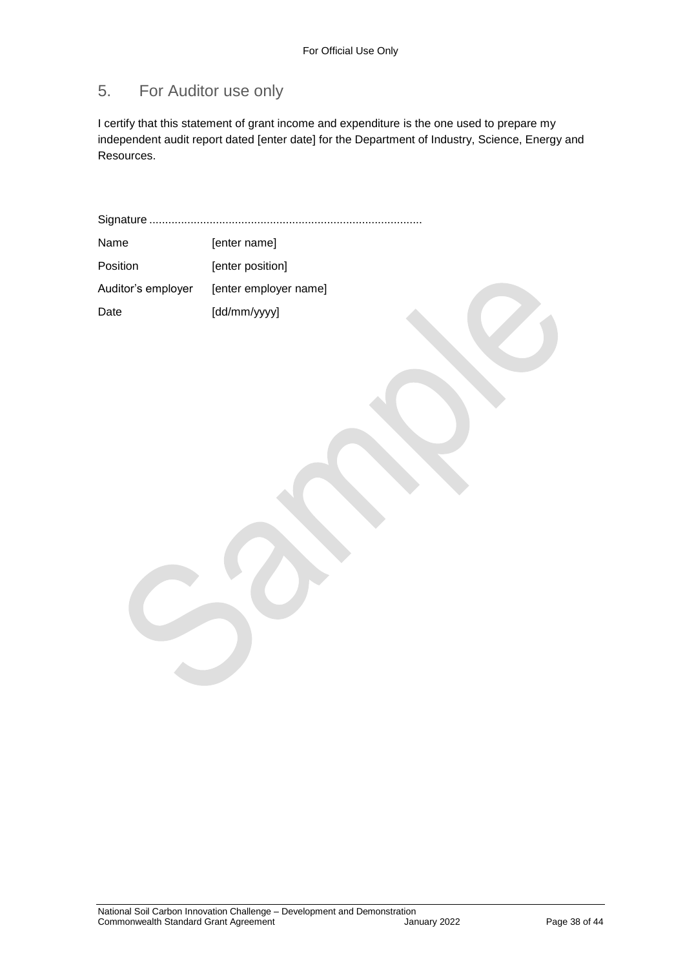## 5. For Auditor use only

I certify that this statement of grant income and expenditure is the one used to prepare my independent audit report dated [enter date] for the Department of Industry, Science, Energy and Resources.

Signature ...................................................................................... Name [enter name] Position [enter position] Auditor's employer [enter employer name] Date [dd/mm/yyyy]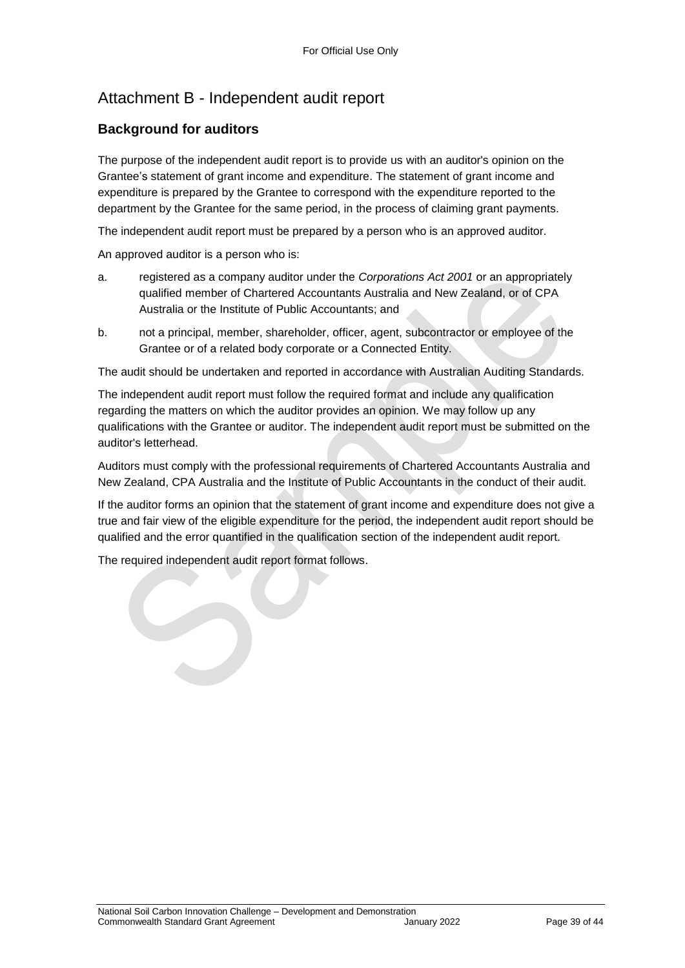## Attachment B - Independent audit report

#### **Background for auditors**

The purpose of the independent audit report is to provide us with an auditor's opinion on the Grantee's statement of grant income and expenditure. The statement of grant income and expenditure is prepared by the Grantee to correspond with the expenditure reported to the department by the Grantee for the same period, in the process of claiming grant payments.

The independent audit report must be prepared by a person who is an approved auditor.

An approved auditor is a person who is:

- a. registered as a company auditor under the *Corporations Act 2001* or an appropriately qualified member of Chartered Accountants Australia and New Zealand, or of CPA Australia or the Institute of Public Accountants; and
- b. not a principal, member, shareholder, officer, agent, subcontractor or employee of the Grantee or of a related body corporate or a Connected Entity.

The audit should be undertaken and reported in accordance with Australian Auditing Standards.

The independent audit report must follow the required format and include any qualification regarding the matters on which the auditor provides an opinion. We may follow up any qualifications with the Grantee or auditor. The independent audit report must be submitted on the auditor's letterhead.

Auditors must comply with the professional requirements of Chartered Accountants Australia and New Zealand, CPA Australia and the Institute of Public Accountants in the conduct of their audit.

If the auditor forms an opinion that the statement of grant income and expenditure does not give a true and fair view of the eligible expenditure for the period, the independent audit report should be qualified and the error quantified in the qualification section of the independent audit report.

The required independent audit report format follows.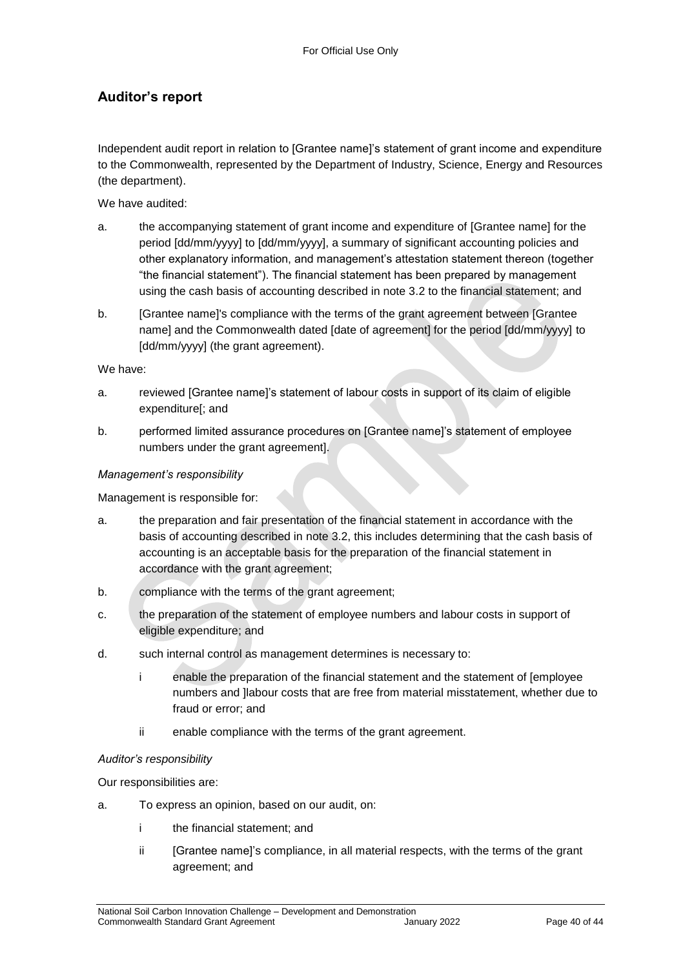### **Auditor's report**

Independent audit report in relation to [Grantee name]'s statement of grant income and expenditure to the Commonwealth, represented by the Department of Industry, Science, Energy and Resources (the department).

We have audited:

- a. the accompanying statement of grant income and expenditure of [Grantee name] for the period [dd/mm/yyyy] to [dd/mm/yyyy], a summary of significant accounting policies and other explanatory information, and management's attestation statement thereon (together "the financial statement"). The financial statement has been prepared by management using the cash basis of accounting described in note 3.2 to the financial statement; and
- b. [Grantee name]'s compliance with the terms of the grant agreement between [Grantee name] and the Commonwealth dated [date of agreement] for the period [dd/mm/yyyy] to [dd/mm/yyyy] (the grant agreement).

We have:

- a. reviewed [Grantee name]'s statement of labour costs in support of its claim of eligible expenditure[; and
- b. performed limited assurance procedures on [Grantee name]'s statement of employee numbers under the grant agreement].

#### *Management's responsibility*

Management is responsible for:

- a. the preparation and fair presentation of the financial statement in accordance with the basis of accounting described in note 3.2, this includes determining that the cash basis of accounting is an acceptable basis for the preparation of the financial statement in accordance with the grant agreement;
- b. compliance with the terms of the grant agreement;
- c. the preparation of the statement of employee numbers and labour costs in support of eligible expenditure; and
- d. such internal control as management determines is necessary to:
	- i enable the preparation of the financial statement and the statement of [employee numbers and ]labour costs that are free from material misstatement, whether due to fraud or error; and
	- ii enable compliance with the terms of the grant agreement.

#### *Auditor's responsibility*

Our responsibilities are:

- a. To express an opinion, based on our audit, on:
	- i the financial statement; and
	- ii [Grantee name]'s compliance, in all material respects, with the terms of the grant agreement; and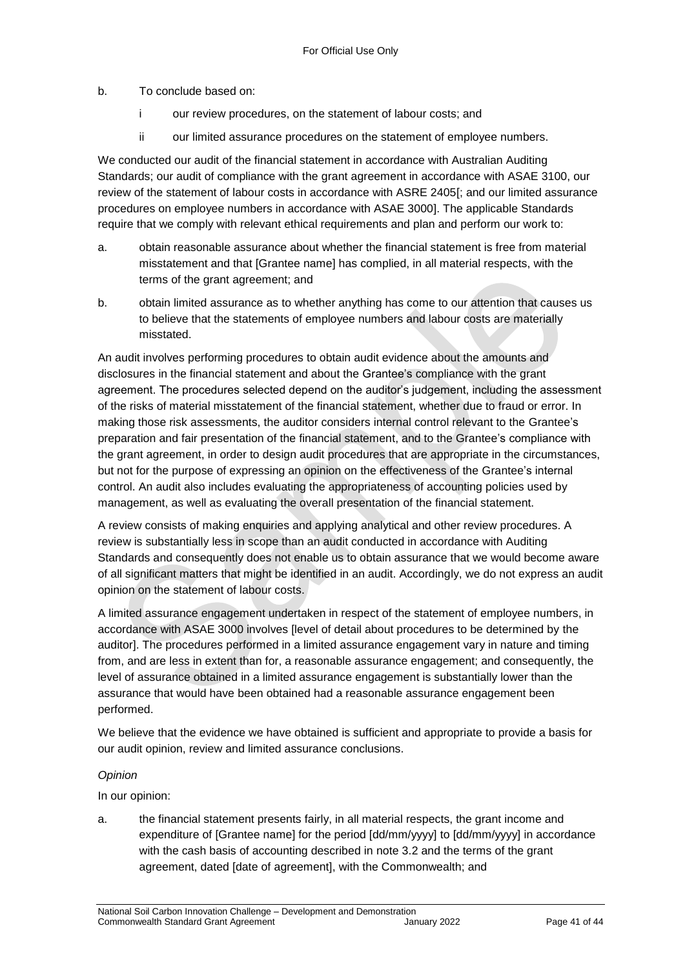b. To conclude based on:

- i our review procedures, on the statement of labour costs; and
- ii our limited assurance procedures on the statement of employee numbers.

We conducted our audit of the financial statement in accordance with Australian Auditing Standards; our audit of compliance with the grant agreement in accordance with ASAE 3100, our review of the statement of labour costs in accordance with ASRE 2405[; and our limited assurance procedures on employee numbers in accordance with ASAE 3000]. The applicable Standards require that we comply with relevant ethical requirements and plan and perform our work to:

- a. obtain reasonable assurance about whether the financial statement is free from material misstatement and that [Grantee name] has complied, in all material respects, with the terms of the grant agreement; and
- b. obtain limited assurance as to whether anything has come to our attention that causes us to believe that the statements of employee numbers and labour costs are materially misstated.

An audit involves performing procedures to obtain audit evidence about the amounts and disclosures in the financial statement and about the Grantee's compliance with the grant agreement. The procedures selected depend on the auditor's judgement, including the assessment of the risks of material misstatement of the financial statement, whether due to fraud or error. In making those risk assessments, the auditor considers internal control relevant to the Grantee's preparation and fair presentation of the financial statement, and to the Grantee's compliance with the grant agreement, in order to design audit procedures that are appropriate in the circumstances, but not for the purpose of expressing an opinion on the effectiveness of the Grantee's internal control. An audit also includes evaluating the appropriateness of accounting policies used by management, as well as evaluating the overall presentation of the financial statement.

A review consists of making enquiries and applying analytical and other review procedures. A review is substantially less in scope than an audit conducted in accordance with Auditing Standards and consequently does not enable us to obtain assurance that we would become aware of all significant matters that might be identified in an audit. Accordingly, we do not express an audit opinion on the statement of labour costs.

A limited assurance engagement undertaken in respect of the statement of employee numbers, in accordance with ASAE 3000 involves [level of detail about procedures to be determined by the auditor]. The procedures performed in a limited assurance engagement vary in nature and timing from, and are less in extent than for, a reasonable assurance engagement; and consequently, the level of assurance obtained in a limited assurance engagement is substantially lower than the assurance that would have been obtained had a reasonable assurance engagement been performed.

We believe that the evidence we have obtained is sufficient and appropriate to provide a basis for our audit opinion, review and limited assurance conclusions.

#### *Opinion*

In our opinion:

a. the financial statement presents fairly, in all material respects, the grant income and expenditure of [Grantee name] for the period [dd/mm/yyyy] to [dd/mm/yyyy] in accordance with the cash basis of accounting described in note 3.2 and the terms of the grant agreement, dated [date of agreement], with the Commonwealth; and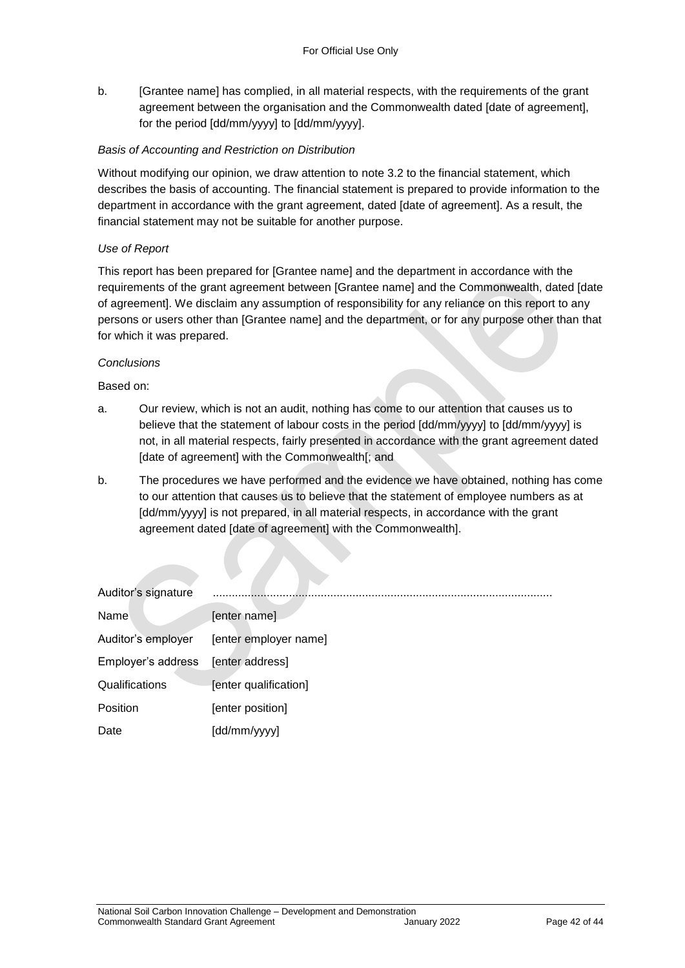b. [Grantee name] has complied, in all material respects, with the requirements of the grant agreement between the organisation and the Commonwealth dated [date of agreement], for the period [dd/mm/yyyy] to [dd/mm/yyyy].

#### *Basis of Accounting and Restriction on Distribution*

Without modifying our opinion, we draw attention to note 3.2 to the financial statement, which describes the basis of accounting. The financial statement is prepared to provide information to the department in accordance with the grant agreement, dated [date of agreement]. As a result, the financial statement may not be suitable for another purpose.

#### *Use of Report*

This report has been prepared for [Grantee name] and the department in accordance with the requirements of the grant agreement between [Grantee name] and the Commonwealth, dated [date of agreement]. We disclaim any assumption of responsibility for any reliance on this report to any persons or users other than [Grantee name] and the department, or for any purpose other than that for which it was prepared.

#### *Conclusions*

Based on:

- a. Our review, which is not an audit, nothing has come to our attention that causes us to believe that the statement of labour costs in the period [dd/mm/yyyy] to [dd/mm/yyyy] is not, in all material respects, fairly presented in accordance with the grant agreement dated [date of agreement] with the Commonwealth[; and
- b. The procedures we have performed and the evidence we have obtained, nothing has come to our attention that causes us to believe that the statement of employee numbers as at [dd/mm/yyyy] is not prepared, in all material respects, in accordance with the grant agreement dated [date of agreement] with the Commonwealth].

| Auditor's signature |                       |
|---------------------|-----------------------|
| Name                | [enter name]          |
| Auditor's employer  | [enter employer name] |
| Employer's address  | [enter address]       |
| Qualifications      | [enter qualification] |
| Position            | [enter position]      |
| Date                | [dd/mm/yyyy]          |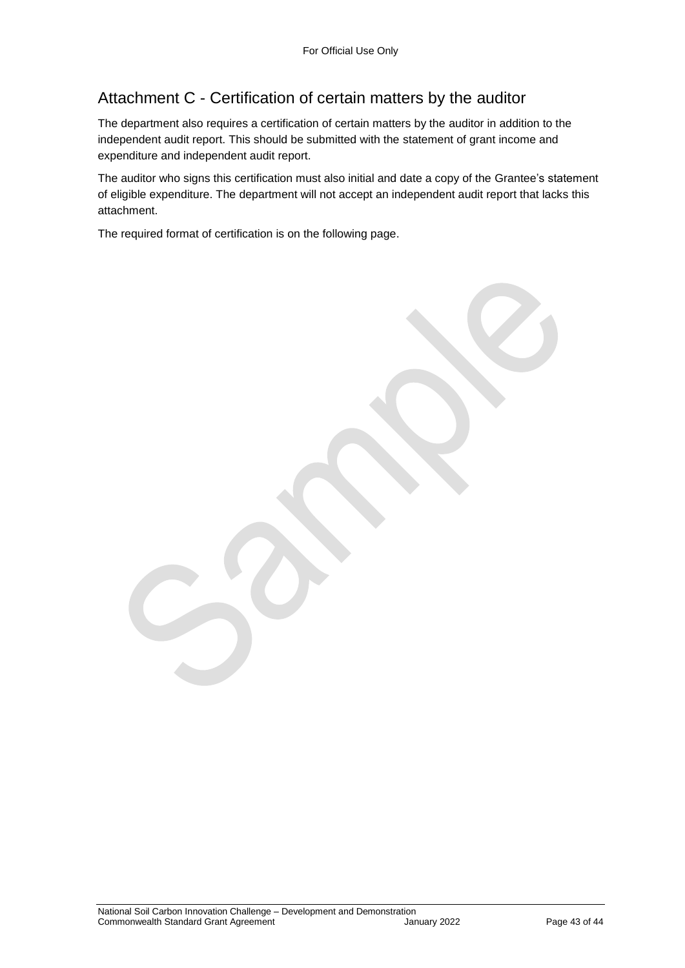## Attachment C - Certification of certain matters by the auditor

The department also requires a certification of certain matters by the auditor in addition to the independent audit report. This should be submitted with the statement of grant income and expenditure and independent audit report.

The auditor who signs this certification must also initial and date a copy of the Grantee's statement of eligible expenditure. The department will not accept an independent audit report that lacks this attachment.

The required format of certification is on the following page.